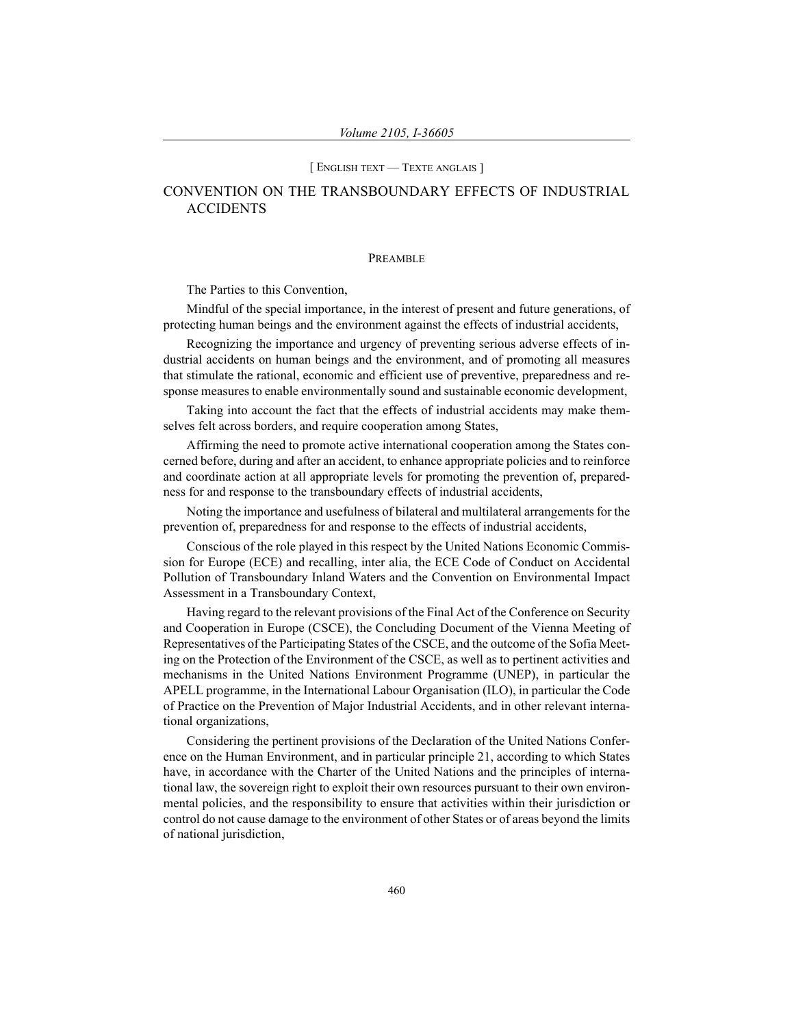#### [ ENGLISH TEXT — TEXTE ANGLAIS ]

# CONVENTION ON THE TRANSBOUNDARY EFFECTS OF INDUSTRIAL ACCIDENTS

#### PREAMBLE

The Parties to this Convention,

Mindful of the special importance, in the interest of present and future generations, of protecting human beings and the environment against the effects of industrial accidents,

Recognizing the importance and urgency of preventing serious adverse effects of industrial accidents on human beings and the environment, and of promoting all measures that stimulate the rational, economic and efficient use of preventive, preparedness and response measures to enable environmentally sound and sustainable economic development,

Taking into account the fact that the effects of industrial accidents may make themselves felt across borders, and require cooperation among States,

Affirming the need to promote active international cooperation among the States concerned before, during and after an accident, to enhance appropriate policies and to reinforce and coordinate action at all appropriate levels for promoting the prevention of, preparedness for and response to the transboundary effects of industrial accidents,

Noting the importance and usefulness of bilateral and multilateral arrangements for the prevention of, preparedness for and response to the effects of industrial accidents,

Conscious of the role played in this respect by the United Nations Economic Commission for Europe (ECE) and recalling, inter alia, the ECE Code of Conduct on Accidental Pollution of Transboundary Inland Waters and the Convention on Environmental Impact Assessment in a Transboundary Context,

Having regard to the relevant provisions of the Final Act of the Conference on Security and Cooperation in Europe (CSCE), the Concluding Document of the Vienna Meeting of Representatives of the Participating States of the CSCE, and the outcome of the Sofia Meeting on the Protection of the Environment of the CSCE, as well as to pertinent activities and mechanisms in the United Nations Environment Programme (UNEP), in particular the APELL programme, in the International Labour Organisation (ILO), in particular the Code of Practice on the Prevention of Major Industrial Accidents, and in other relevant international organizations,

Considering the pertinent provisions of the Declaration of the United Nations Conference on the Human Environment, and in particular principle 21, according to which States have, in accordance with the Charter of the United Nations and the principles of international law, the sovereign right to exploit their own resources pursuant to their own environmental policies, and the responsibility to ensure that activities within their jurisdiction or control do not cause damage to the environment of other States or of areas beyond the limits of national jurisdiction,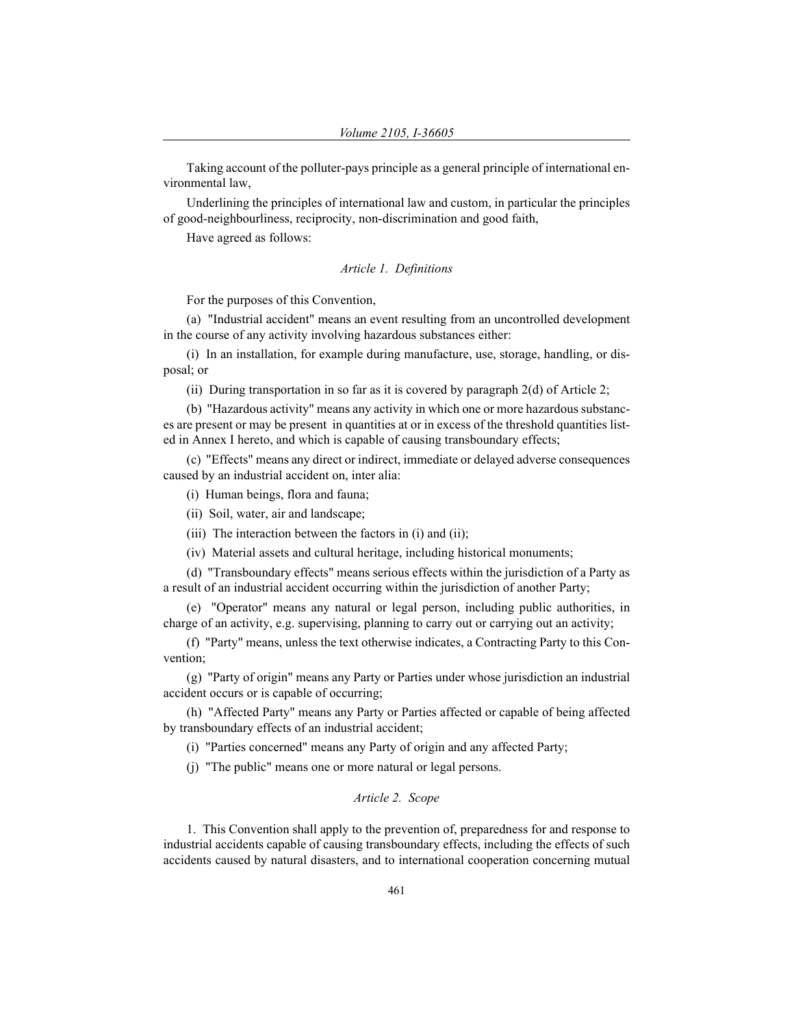Taking account of the polluter-pays principle as a general principle of international environmental law,

Underlining the principles of international law and custom, in particular the principles of good-neighbourliness, reciprocity, non-discrimination and good faith,

Have agreed as follows:

#### *Article 1. Definitions*

For the purposes of this Convention,

(a) "Industrial accident" means an event resulting from an uncontrolled development in the course of any activity involving hazardous substances either:

(i) In an installation, for example during manufacture, use, storage, handling, or disposal; or

(ii) During transportation in so far as it is covered by paragraph  $2(d)$  of Article 2;

(b) "Hazardous activity" means any activity in which one or more hazardous substances are present or may be present in quantities at or in excess of the threshold quantities listed in Annex I hereto, and which is capable of causing transboundary effects;

(c) "Effects" means any direct or indirect, immediate or delayed adverse consequences caused by an industrial accident on, inter alia:

(i) Human beings, flora and fauna;

(ii) Soil, water, air and landscape;

(iii) The interaction between the factors in (i) and (ii);

(iv) Material assets and cultural heritage, including historical monuments;

(d) "Transboundary effects" means serious effects within the jurisdiction of a Party as a result of an industrial accident occurring within the jurisdiction of another Party;

(e) "Operator" means any natural or legal person, including public authorities, in charge of an activity, e.g. supervising, planning to carry out or carrying out an activity;

(f) "Party" means, unless the text otherwise indicates, a Contracting Party to this Convention;

(g) "Party of origin" means any Party or Parties under whose jurisdiction an industrial accident occurs or is capable of occurring;

(h) "Affected Party" means any Party or Parties affected or capable of being affected by transboundary effects of an industrial accident;

(i) "Parties concerned" means any Party of origin and any affected Party;

(j) "The public" means one or more natural or legal persons.

#### *Article 2. Scope*

1. This Convention shall apply to the prevention of, preparedness for and response to industrial accidents capable of causing transboundary effects, including the effects of such accidents caused by natural disasters, and to international cooperation concerning mutual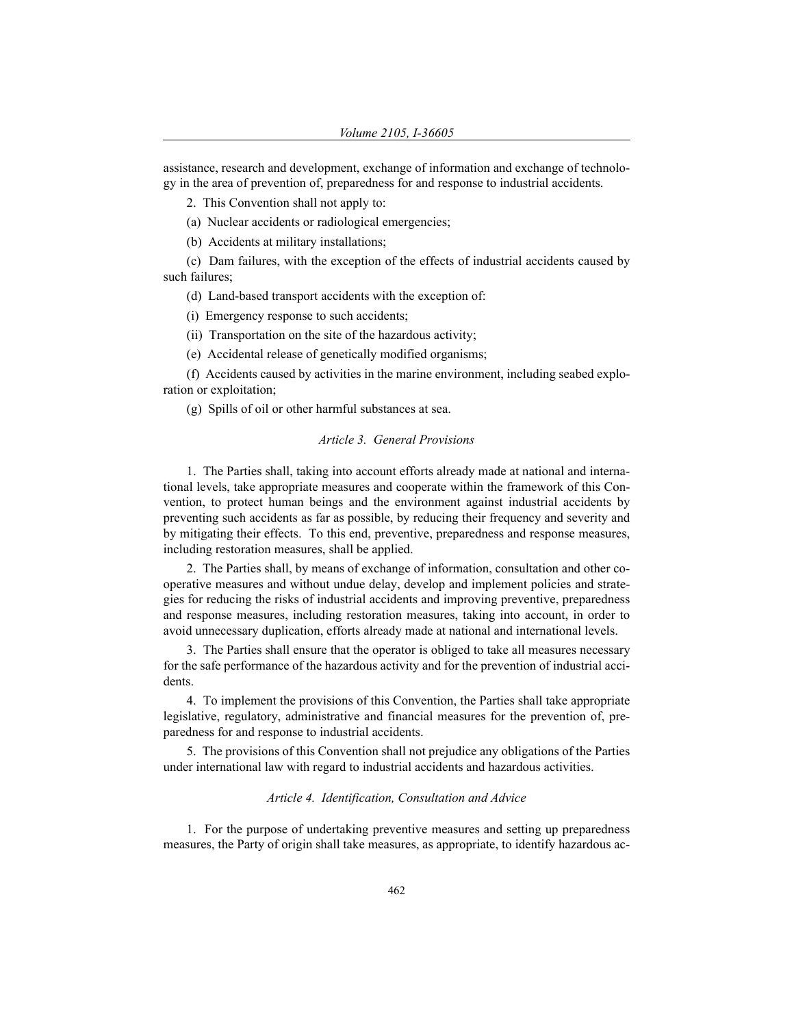assistance, research and development, exchange of information and exchange of technology in the area of prevention of, preparedness for and response to industrial accidents.

2. This Convention shall not apply to:

(a) Nuclear accidents or radiological emergencies;

(b) Accidents at military installations;

(c) Dam failures, with the exception of the effects of industrial accidents caused by such failures;

(d) Land-based transport accidents with the exception of:

(i) Emergency response to such accidents;

(ii) Transportation on the site of the hazardous activity;

(e) Accidental release of genetically modified organisms;

(f) Accidents caused by activities in the marine environment, including seabed exploration or exploitation;

(g) Spills of oil or other harmful substances at sea.

#### *Article 3. General Provisions*

1. The Parties shall, taking into account efforts already made at national and international levels, take appropriate measures and cooperate within the framework of this Convention, to protect human beings and the environment against industrial accidents by preventing such accidents as far as possible, by reducing their frequency and severity and by mitigating their effects. To this end, preventive, preparedness and response measures, including restoration measures, shall be applied.

2. The Parties shall, by means of exchange of information, consultation and other cooperative measures and without undue delay, develop and implement policies and strategies for reducing the risks of industrial accidents and improving preventive, preparedness and response measures, including restoration measures, taking into account, in order to avoid unnecessary duplication, efforts already made at national and international levels.

3. The Parties shall ensure that the operator is obliged to take all measures necessary for the safe performance of the hazardous activity and for the prevention of industrial accidents.

4. To implement the provisions of this Convention, the Parties shall take appropriate legislative, regulatory, administrative and financial measures for the prevention of, preparedness for and response to industrial accidents.

5. The provisions of this Convention shall not prejudice any obligations of the Parties under international law with regard to industrial accidents and hazardous activities.

#### *Article 4. Identification, Consultation and Advice*

1. For the purpose of undertaking preventive measures and setting up preparedness measures, the Party of origin shall take measures, as appropriate, to identify hazardous ac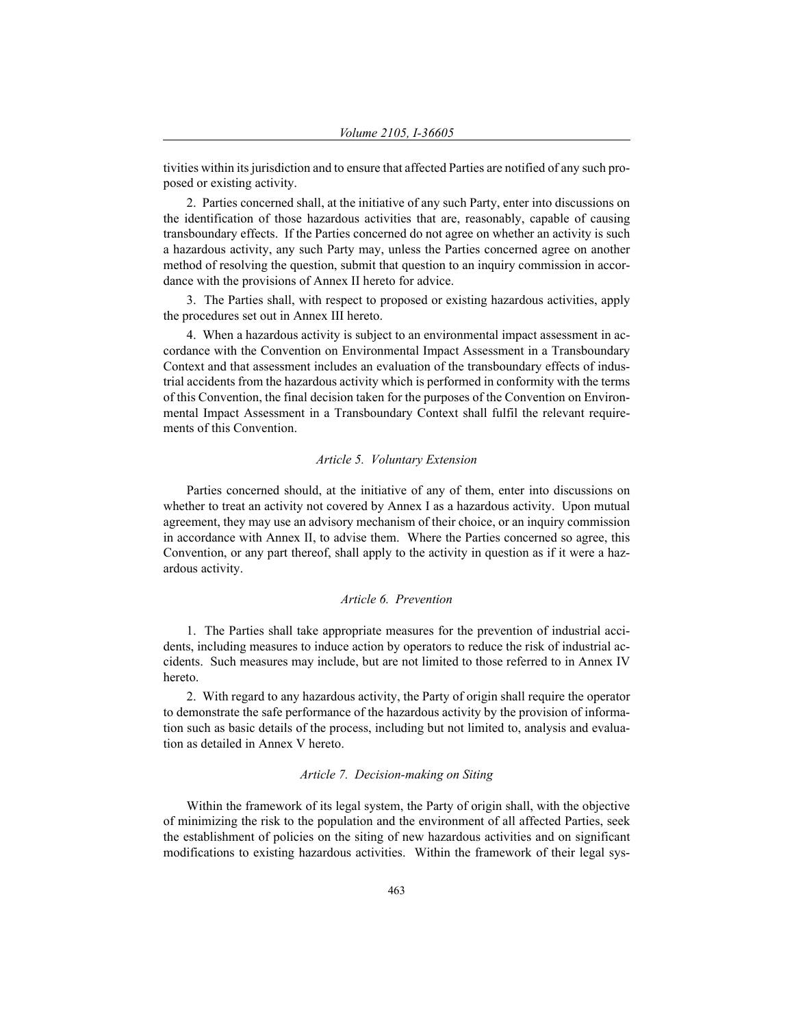tivities within its jurisdiction and to ensure that affected Parties are notified of any such proposed or existing activity.

2. Parties concerned shall, at the initiative of any such Party, enter into discussions on the identification of those hazardous activities that are, reasonably, capable of causing transboundary effects. If the Parties concerned do not agree on whether an activity is such a hazardous activity, any such Party may, unless the Parties concerned agree on another method of resolving the question, submit that question to an inquiry commission in accordance with the provisions of Annex II hereto for advice.

3. The Parties shall, with respect to proposed or existing hazardous activities, apply the procedures set out in Annex III hereto.

4. When a hazardous activity is subject to an environmental impact assessment in accordance with the Convention on Environmental Impact Assessment in a Transboundary Context and that assessment includes an evaluation of the transboundary effects of industrial accidents from the hazardous activity which is performed in conformity with the terms of this Convention, the final decision taken for the purposes of the Convention on Environmental Impact Assessment in a Transboundary Context shall fulfil the relevant requirements of this Convention.

#### *Article 5. Voluntary Extension*

Parties concerned should, at the initiative of any of them, enter into discussions on whether to treat an activity not covered by Annex I as a hazardous activity. Upon mutual agreement, they may use an advisory mechanism of their choice, or an inquiry commission in accordance with Annex II, to advise them. Where the Parties concerned so agree, this Convention, or any part thereof, shall apply to the activity in question as if it were a hazardous activity.

#### *Article 6. Prevention*

1. The Parties shall take appropriate measures for the prevention of industrial accidents, including measures to induce action by operators to reduce the risk of industrial accidents. Such measures may include, but are not limited to those referred to in Annex IV hereto.

2. With regard to any hazardous activity, the Party of origin shall require the operator to demonstrate the safe performance of the hazardous activity by the provision of information such as basic details of the process, including but not limited to, analysis and evaluation as detailed in Annex V hereto.

#### *Article 7. Decision-making on Siting*

Within the framework of its legal system, the Party of origin shall, with the objective of minimizing the risk to the population and the environment of all affected Parties, seek the establishment of policies on the siting of new hazardous activities and on significant modifications to existing hazardous activities. Within the framework of their legal sys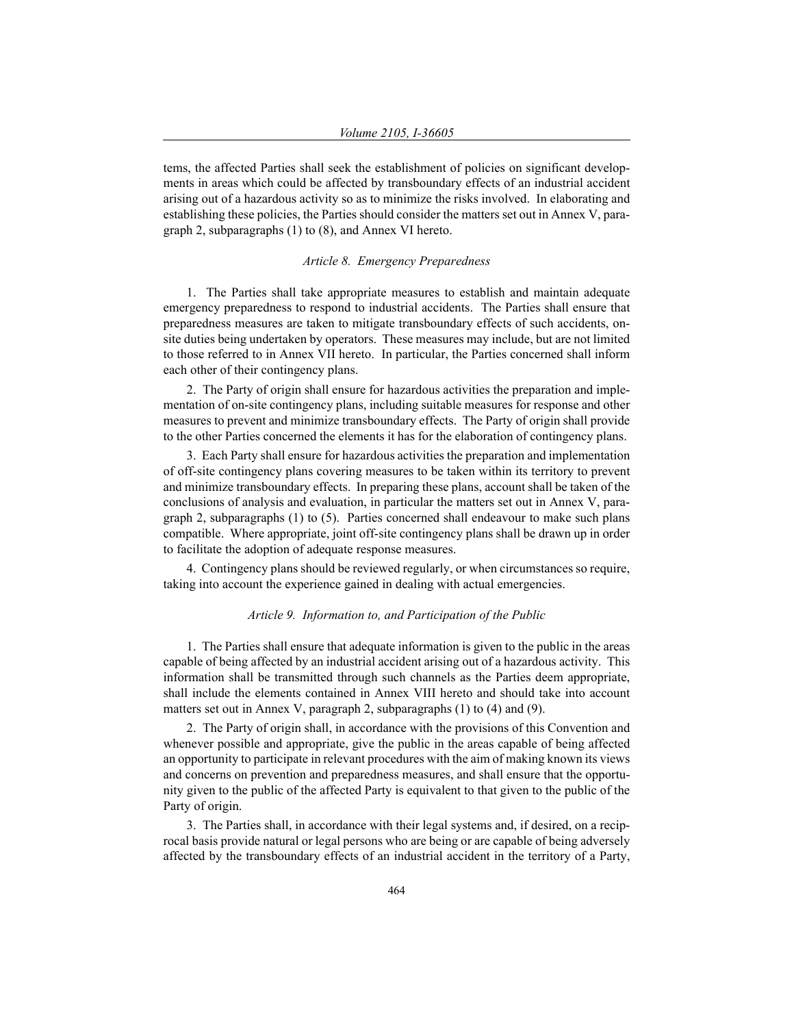tems, the affected Parties shall seek the establishment of policies on significant developments in areas which could be affected by transboundary effects of an industrial accident arising out of a hazardous activity so as to minimize the risks involved. In elaborating and establishing these policies, the Parties should consider the matters set out in Annex V, paragraph 2, subparagraphs (1) to (8), and Annex VI hereto.

#### *Article 8. Emergency Preparedness*

1. The Parties shall take appropriate measures to establish and maintain adequate emergency preparedness to respond to industrial accidents. The Parties shall ensure that preparedness measures are taken to mitigate transboundary effects of such accidents, onsite duties being undertaken by operators. These measures may include, but are not limited to those referred to in Annex VII hereto. In particular, the Parties concerned shall inform each other of their contingency plans.

2. The Party of origin shall ensure for hazardous activities the preparation and implementation of on-site contingency plans, including suitable measures for response and other measures to prevent and minimize transboundary effects. The Party of origin shall provide to the other Parties concerned the elements it has for the elaboration of contingency plans.

3. Each Party shall ensure for hazardous activities the preparation and implementation of off-site contingency plans covering measures to be taken within its territory to prevent and minimize transboundary effects. In preparing these plans, account shall be taken of the conclusions of analysis and evaluation, in particular the matters set out in Annex V, paragraph 2, subparagraphs (1) to (5). Parties concerned shall endeavour to make such plans compatible. Where appropriate, joint off-site contingency plans shall be drawn up in order to facilitate the adoption of adequate response measures.

4. Contingency plans should be reviewed regularly, or when circumstances so require, taking into account the experience gained in dealing with actual emergencies.

#### *Article 9. Information to, and Participation of the Public*

1. The Parties shall ensure that adequate information is given to the public in the areas capable of being affected by an industrial accident arising out of a hazardous activity. This information shall be transmitted through such channels as the Parties deem appropriate, shall include the elements contained in Annex VIII hereto and should take into account matters set out in Annex V, paragraph 2, subparagraphs (1) to (4) and (9).

2. The Party of origin shall, in accordance with the provisions of this Convention and whenever possible and appropriate, give the public in the areas capable of being affected an opportunity to participate in relevant procedures with the aim of making known its views and concerns on prevention and preparedness measures, and shall ensure that the opportunity given to the public of the affected Party is equivalent to that given to the public of the Party of origin.

3. The Parties shall, in accordance with their legal systems and, if desired, on a reciprocal basis provide natural or legal persons who are being or are capable of being adversely affected by the transboundary effects of an industrial accident in the territory of a Party,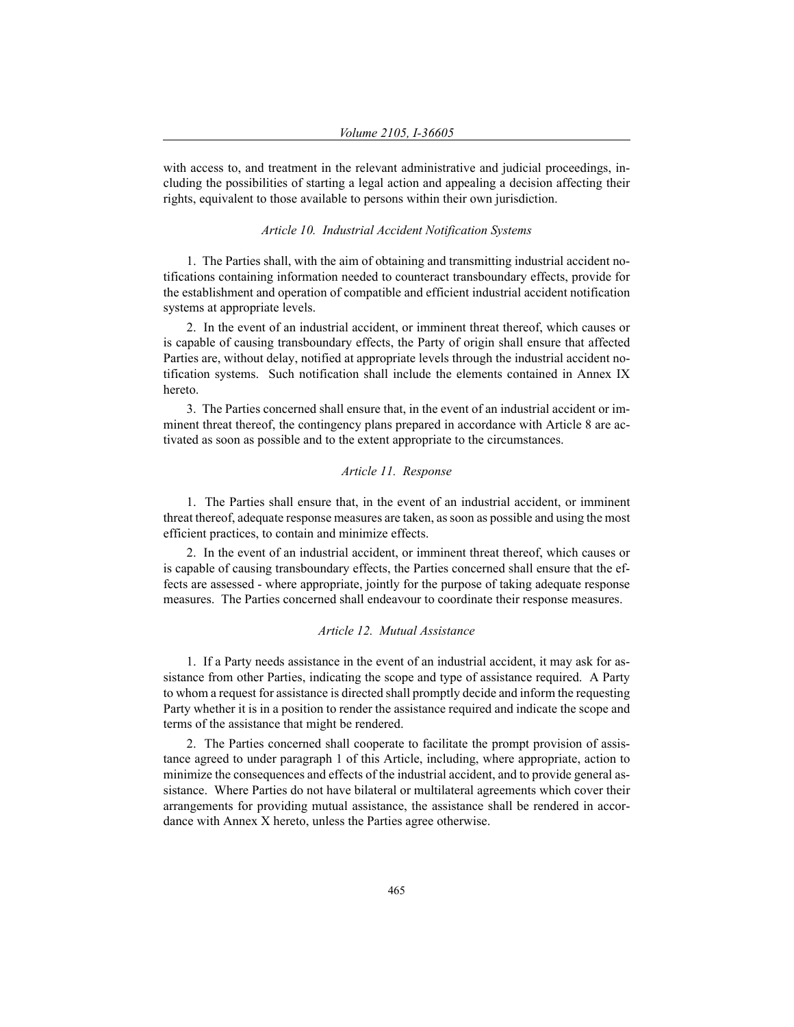with access to, and treatment in the relevant administrative and judicial proceedings, including the possibilities of starting a legal action and appealing a decision affecting their rights, equivalent to those available to persons within their own jurisdiction.

#### *Article 10. Industrial Accident Notification Systems*

1. The Parties shall, with the aim of obtaining and transmitting industrial accident notifications containing information needed to counteract transboundary effects, provide for the establishment and operation of compatible and efficient industrial accident notification systems at appropriate levels.

2. In the event of an industrial accident, or imminent threat thereof, which causes or is capable of causing transboundary effects, the Party of origin shall ensure that affected Parties are, without delay, notified at appropriate levels through the industrial accident notification systems. Such notification shall include the elements contained in Annex IX hereto.

3. The Parties concerned shall ensure that, in the event of an industrial accident or imminent threat thereof, the contingency plans prepared in accordance with Article 8 are activated as soon as possible and to the extent appropriate to the circumstances.

#### *Article 11. Response*

1. The Parties shall ensure that, in the event of an industrial accident, or imminent threat thereof, adequate response measures are taken, as soon as possible and using the most efficient practices, to contain and minimize effects.

2. In the event of an industrial accident, or imminent threat thereof, which causes or is capable of causing transboundary effects, the Parties concerned shall ensure that the effects are assessed - where appropriate, jointly for the purpose of taking adequate response measures. The Parties concerned shall endeavour to coordinate their response measures.

#### *Article 12. Mutual Assistance*

1. If a Party needs assistance in the event of an industrial accident, it may ask for assistance from other Parties, indicating the scope and type of assistance required. A Party to whom a request for assistance is directed shall promptly decide and inform the requesting Party whether it is in a position to render the assistance required and indicate the scope and terms of the assistance that might be rendered.

2. The Parties concerned shall cooperate to facilitate the prompt provision of assistance agreed to under paragraph 1 of this Article, including, where appropriate, action to minimize the consequences and effects of the industrial accident, and to provide general assistance. Where Parties do not have bilateral or multilateral agreements which cover their arrangements for providing mutual assistance, the assistance shall be rendered in accordance with Annex X hereto, unless the Parties agree otherwise.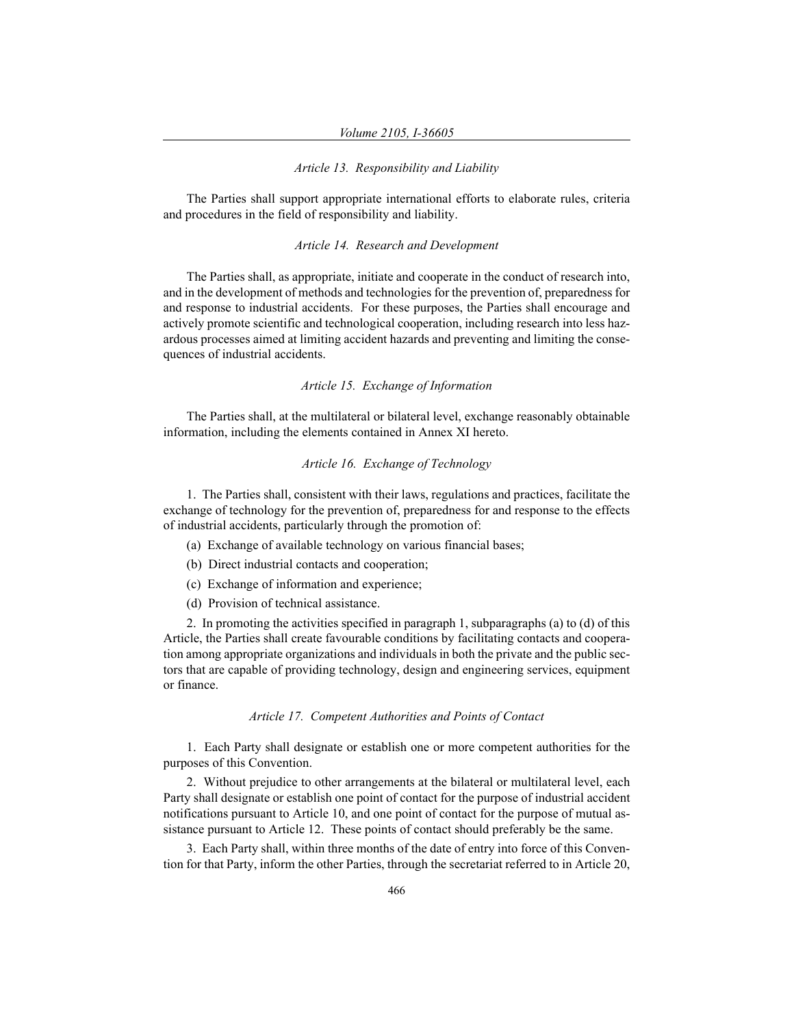#### *Article 13. Responsibility and Liability*

The Parties shall support appropriate international efforts to elaborate rules, criteria and procedures in the field of responsibility and liability.

#### *Article 14. Research and Development*

The Parties shall, as appropriate, initiate and cooperate in the conduct of research into, and in the development of methods and technologies for the prevention of, preparedness for and response to industrial accidents. For these purposes, the Parties shall encourage and actively promote scientific and technological cooperation, including research into less hazardous processes aimed at limiting accident hazards and preventing and limiting the consequences of industrial accidents.

#### *Article 15. Exchange of Information*

The Parties shall, at the multilateral or bilateral level, exchange reasonably obtainable information, including the elements contained in Annex XI hereto.

#### *Article 16. Exchange of Technology*

1. The Parties shall, consistent with their laws, regulations and practices, facilitate the exchange of technology for the prevention of, preparedness for and response to the effects of industrial accidents, particularly through the promotion of:

- (a) Exchange of available technology on various financial bases;
- (b) Direct industrial contacts and cooperation;
- (c) Exchange of information and experience;
- (d) Provision of technical assistance.

2. In promoting the activities specified in paragraph 1, subparagraphs (a) to (d) of this Article, the Parties shall create favourable conditions by facilitating contacts and cooperation among appropriate organizations and individuals in both the private and the public sectors that are capable of providing technology, design and engineering services, equipment or finance.

#### *Article 17. Competent Authorities and Points of Contact*

1. Each Party shall designate or establish one or more competent authorities for the purposes of this Convention.

2. Without prejudice to other arrangements at the bilateral or multilateral level, each Party shall designate or establish one point of contact for the purpose of industrial accident notifications pursuant to Article 10, and one point of contact for the purpose of mutual assistance pursuant to Article 12. These points of contact should preferably be the same.

3. Each Party shall, within three months of the date of entry into force of this Convention for that Party, inform the other Parties, through the secretariat referred to in Article 20,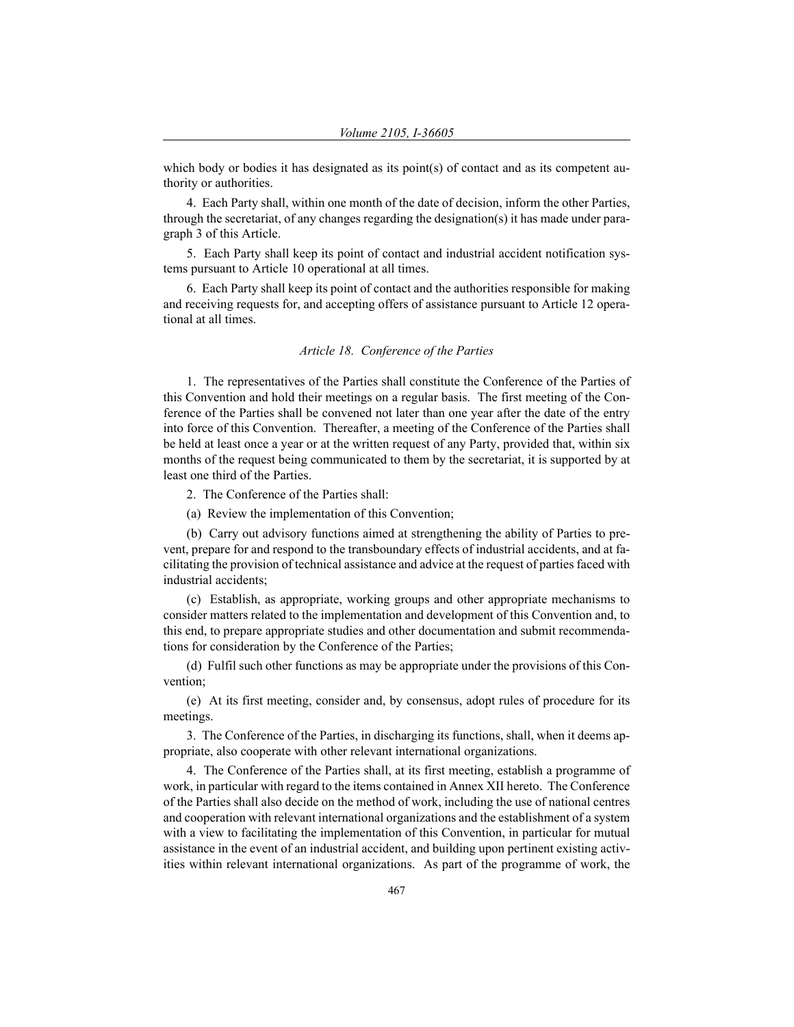which body or bodies it has designated as its point(s) of contact and as its competent authority or authorities.

4. Each Party shall, within one month of the date of decision, inform the other Parties, through the secretariat, of any changes regarding the designation(s) it has made under paragraph 3 of this Article.

5. Each Party shall keep its point of contact and industrial accident notification systems pursuant to Article 10 operational at all times.

6. Each Party shall keep its point of contact and the authorities responsible for making and receiving requests for, and accepting offers of assistance pursuant to Article 12 operational at all times.

#### *Article 18. Conference of the Parties*

1. The representatives of the Parties shall constitute the Conference of the Parties of this Convention and hold their meetings on a regular basis. The first meeting of the Conference of the Parties shall be convened not later than one year after the date of the entry into force of this Convention. Thereafter, a meeting of the Conference of the Parties shall be held at least once a year or at the written request of any Party, provided that, within six months of the request being communicated to them by the secretariat, it is supported by at least one third of the Parties.

2. The Conference of the Parties shall:

(a) Review the implementation of this Convention;

(b) Carry out advisory functions aimed at strengthening the ability of Parties to prevent, prepare for and respond to the transboundary effects of industrial accidents, and at facilitating the provision of technical assistance and advice at the request of parties faced with industrial accidents;

(c) Establish, as appropriate, working groups and other appropriate mechanisms to consider matters related to the implementation and development of this Convention and, to this end, to prepare appropriate studies and other documentation and submit recommendations for consideration by the Conference of the Parties;

(d) Fulfil such other functions as may be appropriate under the provisions of this Convention;

(e) At its first meeting, consider and, by consensus, adopt rules of procedure for its meetings.

3. The Conference of the Parties, in discharging its functions, shall, when it deems appropriate, also cooperate with other relevant international organizations.

4. The Conference of the Parties shall, at its first meeting, establish a programme of work, in particular with regard to the items contained in Annex XII hereto. The Conference of the Parties shall also decide on the method of work, including the use of national centres and cooperation with relevant international organizations and the establishment of a system with a view to facilitating the implementation of this Convention, in particular for mutual assistance in the event of an industrial accident, and building upon pertinent existing activities within relevant international organizations. As part of the programme of work, the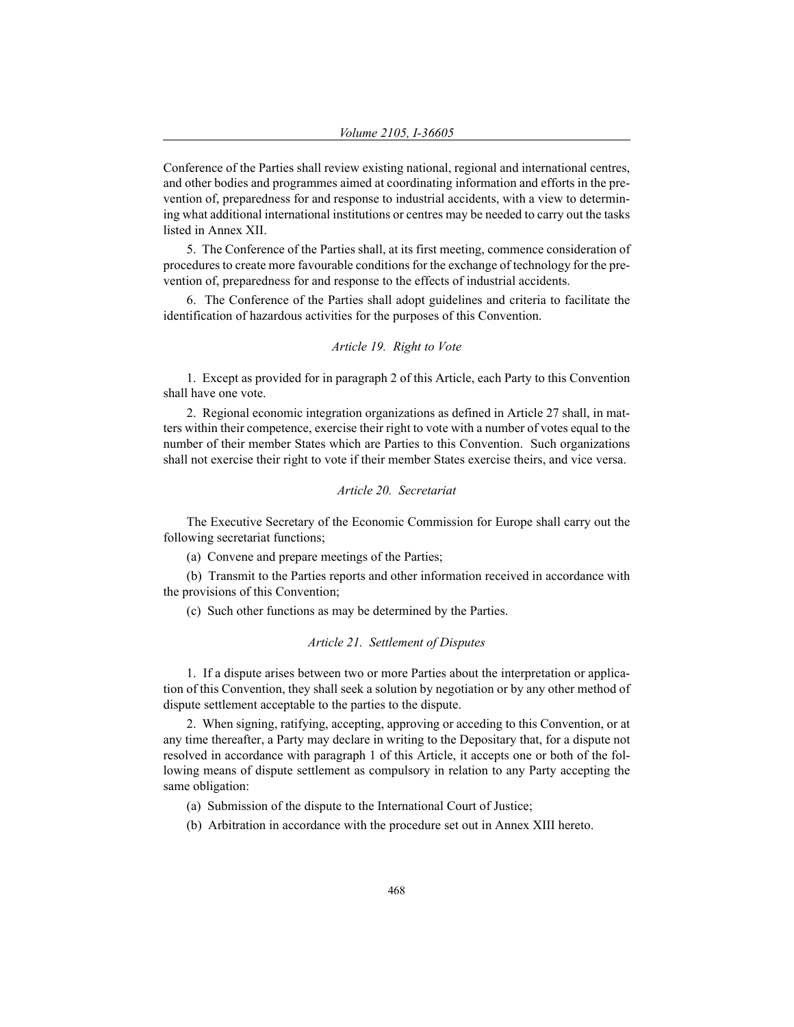Conference of the Parties shall review existing national, regional and international centres, and other bodies and programmes aimed at coordinating information and efforts in the prevention of, preparedness for and response to industrial accidents, with a view to determining what additional international institutions or centres may be needed to carry out the tasks listed in Annex XII.

5. The Conference of the Parties shall, at its first meeting, commence consideration of procedures to create more favourable conditions for the exchange of technology for the prevention of, preparedness for and response to the effects of industrial accidents.

6. The Conference of the Parties shall adopt guidelines and criteria to facilitate the identification of hazardous activities for the purposes of this Convention.

#### *Article 19. Right to Vote*

1. Except as provided for in paragraph 2 of this Article, each Party to this Convention shall have one vote.

2. Regional economic integration organizations as defined in Article 27 shall, in matters within their competence, exercise their right to vote with a number of votes equal to the number of their member States which are Parties to this Convention. Such organizations shall not exercise their right to vote if their member States exercise theirs, and vice versa.

#### *Article 20. Secretariat*

The Executive Secretary of the Economic Commission for Europe shall carry out the following secretariat functions;

(a) Convene and prepare meetings of the Parties;

(b) Transmit to the Parties reports and other information received in accordance with the provisions of this Convention;

(c) Such other functions as may be determined by the Parties.

#### *Article 21. Settlement of Disputes*

1. If a dispute arises between two or more Parties about the interpretation or application of this Convention, they shall seek a solution by negotiation or by any other method of dispute settlement acceptable to the parties to the dispute.

2. When signing, ratifying, accepting, approving or acceding to this Convention, or at any time thereafter, a Party may declare in writing to the Depositary that, for a dispute not resolved in accordance with paragraph 1 of this Article, it accepts one or both of the following means of dispute settlement as compulsory in relation to any Party accepting the same obligation:

(a) Submission of the dispute to the International Court of Justice;

(b) Arbitration in accordance with the procedure set out in Annex XIII hereto.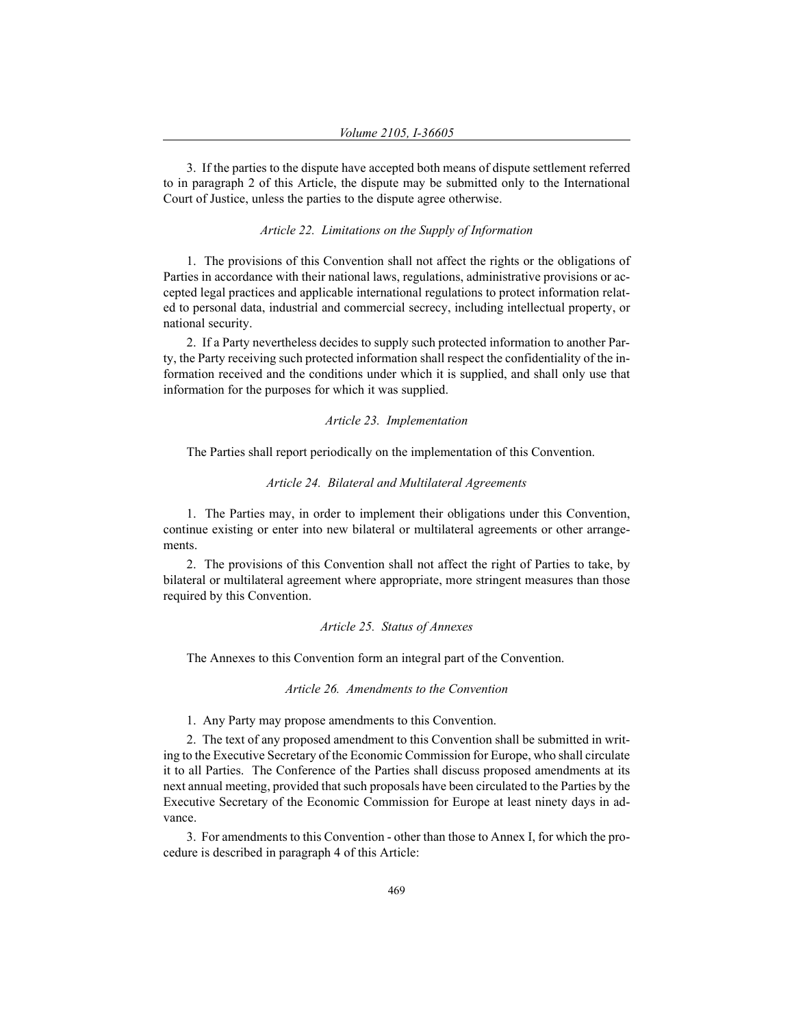3. If the parties to the dispute have accepted both means of dispute settlement referred to in paragraph 2 of this Article, the dispute may be submitted only to the International Court of Justice, unless the parties to the dispute agree otherwise.

#### *Article 22. Limitations on the Supply of Information*

1. The provisions of this Convention shall not affect the rights or the obligations of Parties in accordance with their national laws, regulations, administrative provisions or accepted legal practices and applicable international regulations to protect information related to personal data, industrial and commercial secrecy, including intellectual property, or national security.

2. If a Party nevertheless decides to supply such protected information to another Party, the Party receiving such protected information shall respect the confidentiality of the information received and the conditions under which it is supplied, and shall only use that information for the purposes for which it was supplied.

#### *Article 23. Implementation*

The Parties shall report periodically on the implementation of this Convention.

#### *Article 24. Bilateral and Multilateral Agreements*

1. The Parties may, in order to implement their obligations under this Convention, continue existing or enter into new bilateral or multilateral agreements or other arrangements.

2. The provisions of this Convention shall not affect the right of Parties to take, by bilateral or multilateral agreement where appropriate, more stringent measures than those required by this Convention.

#### *Article 25. Status of Annexes*

The Annexes to this Convention form an integral part of the Convention.

#### *Article 26. Amendments to the Convention*

1. Any Party may propose amendments to this Convention.

2. The text of any proposed amendment to this Convention shall be submitted in writing to the Executive Secretary of the Economic Commission for Europe, who shall circulate it to all Parties. The Conference of the Parties shall discuss proposed amendments at its next annual meeting, provided that such proposals have been circulated to the Parties by the Executive Secretary of the Economic Commission for Europe at least ninety days in advance.

3. For amendments to this Convention - other than those to Annex I, for which the procedure is described in paragraph 4 of this Article: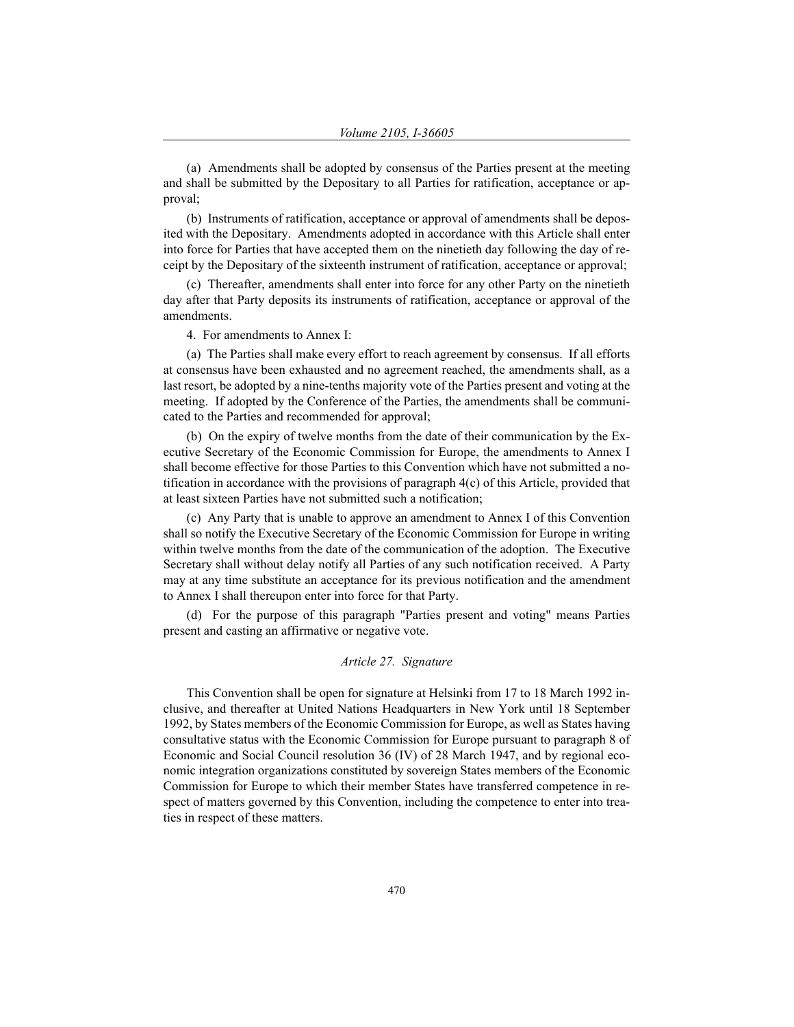(a) Amendments shall be adopted by consensus of the Parties present at the meeting and shall be submitted by the Depositary to all Parties for ratification, acceptance or approval;

(b) Instruments of ratification, acceptance or approval of amendments shall be deposited with the Depositary. Amendments adopted in accordance with this Article shall enter into force for Parties that have accepted them on the ninetieth day following the day of receipt by the Depositary of the sixteenth instrument of ratification, acceptance or approval;

(c) Thereafter, amendments shall enter into force for any other Party on the ninetieth day after that Party deposits its instruments of ratification, acceptance or approval of the amendments.

4. For amendments to Annex I:

(a) The Parties shall make every effort to reach agreement by consensus. If all efforts at consensus have been exhausted and no agreement reached, the amendments shall, as a last resort, be adopted by a nine-tenths majority vote of the Parties present and voting at the meeting. If adopted by the Conference of the Parties, the amendments shall be communicated to the Parties and recommended for approval;

(b) On the expiry of twelve months from the date of their communication by the Executive Secretary of the Economic Commission for Europe, the amendments to Annex I shall become effective for those Parties to this Convention which have not submitted a notification in accordance with the provisions of paragraph  $4(c)$  of this Article, provided that at least sixteen Parties have not submitted such a notification;

(c) Any Party that is unable to approve an amendment to Annex I of this Convention shall so notify the Executive Secretary of the Economic Commission for Europe in writing within twelve months from the date of the communication of the adoption. The Executive Secretary shall without delay notify all Parties of any such notification received. A Party may at any time substitute an acceptance for its previous notification and the amendment to Annex I shall thereupon enter into force for that Party.

(d) For the purpose of this paragraph "Parties present and voting" means Parties present and casting an affirmative or negative vote.

#### *Article 27. Signature*

This Convention shall be open for signature at Helsinki from 17 to 18 March 1992 inclusive, and thereafter at United Nations Headquarters in New York until 18 September 1992, by States members of the Economic Commission for Europe, as well as States having consultative status with the Economic Commission for Europe pursuant to paragraph 8 of Economic and Social Council resolution 36 (IV) of 28 March 1947, and by regional economic integration organizations constituted by sovereign States members of the Economic Commission for Europe to which their member States have transferred competence in respect of matters governed by this Convention, including the competence to enter into treaties in respect of these matters.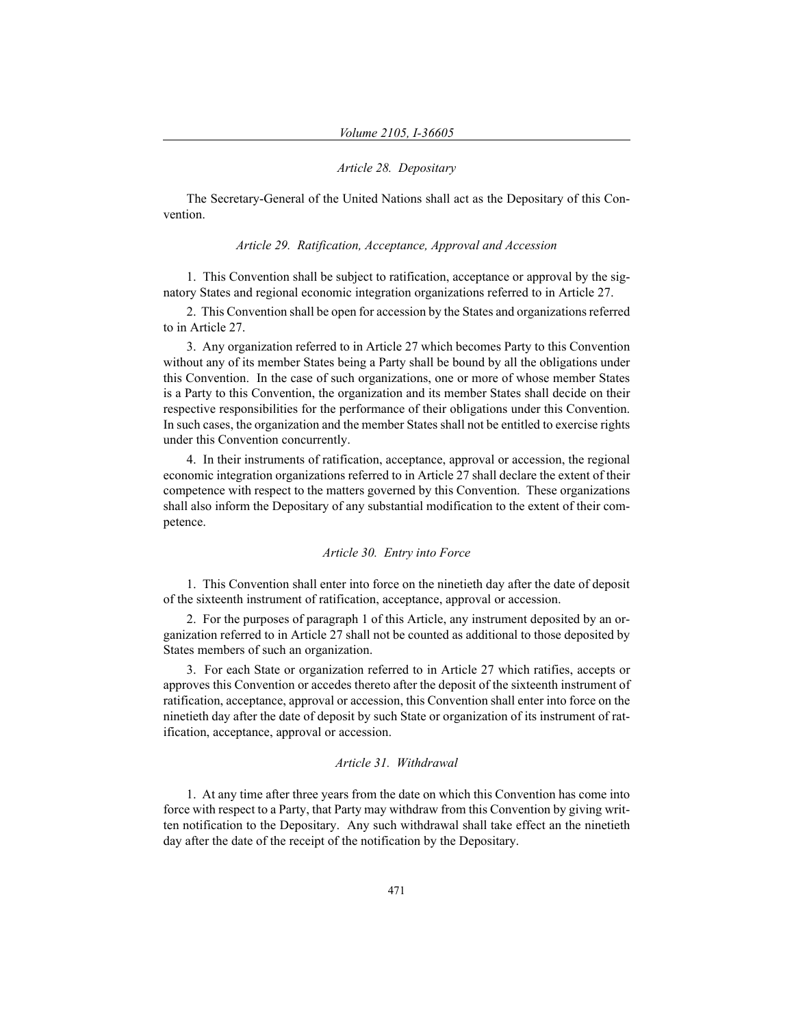#### *Article 28. Depositary*

The Secretary-General of the United Nations shall act as the Depositary of this Convention.

#### *Article 29. Ratification, Acceptance, Approval and Accession*

1. This Convention shall be subject to ratification, acceptance or approval by the signatory States and regional economic integration organizations referred to in Article 27.

2. This Convention shall be open for accession by the States and organizations referred to in Article 27.

3. Any organization referred to in Article 27 which becomes Party to this Convention without any of its member States being a Party shall be bound by all the obligations under this Convention. In the case of such organizations, one or more of whose member States is a Party to this Convention, the organization and its member States shall decide on their respective responsibilities for the performance of their obligations under this Convention. In such cases, the organization and the member States shall not be entitled to exercise rights under this Convention concurrently.

4. In their instruments of ratification, acceptance, approval or accession, the regional economic integration organizations referred to in Article 27 shall declare the extent of their competence with respect to the matters governed by this Convention. These organizations shall also inform the Depositary of any substantial modification to the extent of their competence.

#### *Article 30. Entry into Force*

1. This Convention shall enter into force on the ninetieth day after the date of deposit of the sixteenth instrument of ratification, acceptance, approval or accession.

2. For the purposes of paragraph 1 of this Article, any instrument deposited by an organization referred to in Article 27 shall not be counted as additional to those deposited by States members of such an organization.

3. For each State or organization referred to in Article 27 which ratifies, accepts or approves this Convention or accedes thereto after the deposit of the sixteenth instrument of ratification, acceptance, approval or accession, this Convention shall enter into force on the ninetieth day after the date of deposit by such State or organization of its instrument of ratification, acceptance, approval or accession.

#### *Article 31. Withdrawal*

1. At any time after three years from the date on which this Convention has come into force with respect to a Party, that Party may withdraw from this Convention by giving written notification to the Depositary. Any such withdrawal shall take effect an the ninetieth day after the date of the receipt of the notification by the Depositary.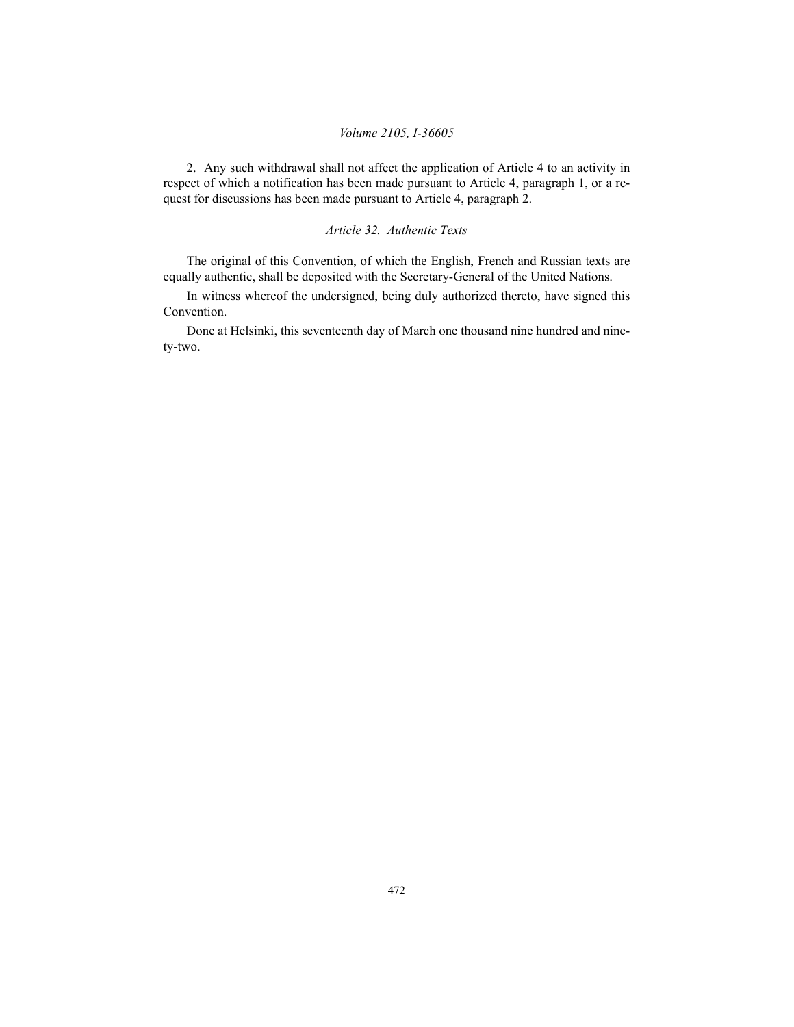2. Any such withdrawal shall not affect the application of Article 4 to an activity in respect of which a notification has been made pursuant to Article 4, paragraph 1, or a request for discussions has been made pursuant to Article 4, paragraph 2.

#### *Article 32. Authentic Texts*

The original of this Convention, of which the English, French and Russian texts are equally authentic, shall be deposited with the Secretary-General of the United Nations.

In witness whereof the undersigned, being duly authorized thereto, have signed this Convention.

Done at Helsinki, this seventeenth day of March one thousand nine hundred and ninety-two.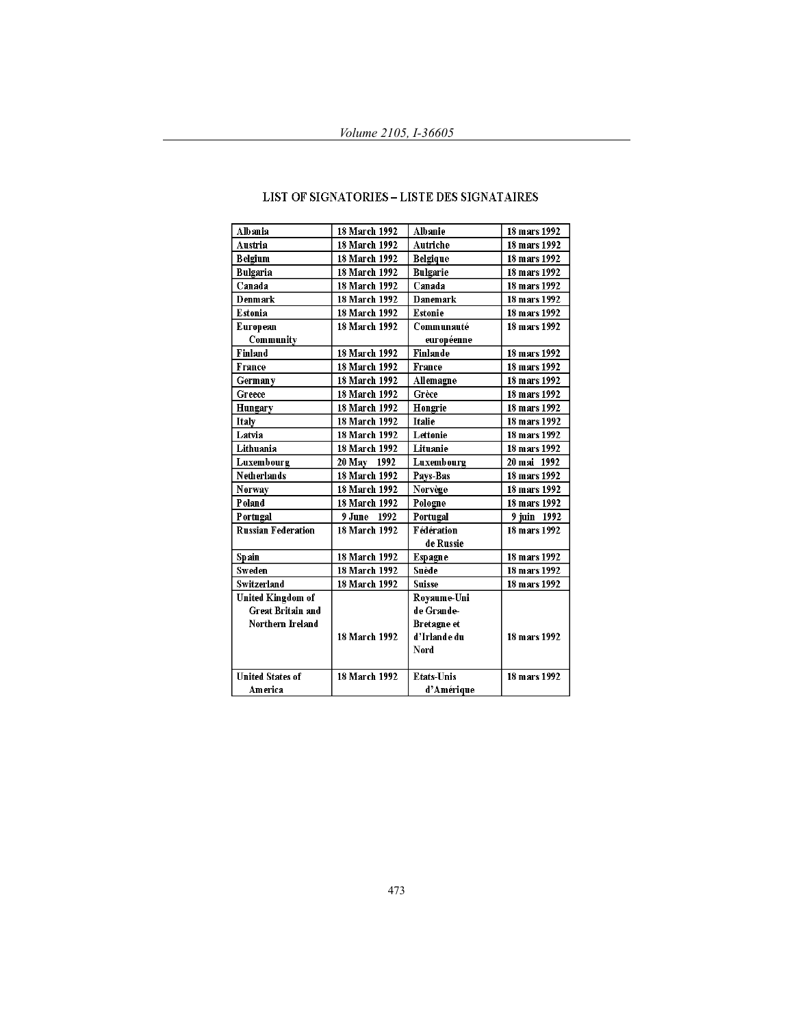| Alb ania                  | 18 March 1992 | Albanie            | 18 mars 1992 |
|---------------------------|---------------|--------------------|--------------|
| Austria                   | 18 March 1992 | Autriche           | 18 mars 1992 |
| <b>B</b> elgium           | 18 March 1992 | Belgique           | 18 mars 1992 |
| <b>Bulgaria</b>           | 18 March 1992 | <b>Bulgarie</b>    | 18 mars 1992 |
| Canada                    | 18 March 1992 | Canada             | 18 mars 1992 |
| <b>Denmark</b>            | 18 March 1992 | Danemark           | 18 mars 1992 |
| Estonia                   | 18 March 1992 | <b>Estonie</b>     | 18 mars 1992 |
| <b>European</b>           | 18 March 1992 | Communauté         | 18 mars 1992 |
| Community                 |               | européenne         |              |
| Finland                   | 18 March 1992 | <b>Finlande</b>    | 18 mars 1992 |
| France                    | 18 March 1992 | France             | 18 mars 1992 |
| Germany                   | 18 March 1992 | Allemagne          | 18 mars 1992 |
| Greece                    | 18 March 1992 | Grèce              | 18 mars 1992 |
| Hungary                   | 18 March 1992 | Hongrie            | 18 mars 1992 |
| Italy                     | 18 March 1992 | Italie             | 18 mars 1992 |
| Latvia                    | 18 March 1992 | Lettonie           | 18 mars 1992 |
| Lithuania                 | 18 March 1992 | Lituanie           | 18 mars 1992 |
| Luxembourg                | 20 May 1992   | Luxembourg         | 20 mai 1992  |
| <b>Netherlands</b>        | 18 March 1992 | Pays-Bas           | 18 mars 1992 |
| Norway                    | 18 March 1992 | Norvège            | 18 mars 1992 |
| Poland                    | 18 March 1992 | Pologne            | 18 mars 1992 |
| Portugal                  | 9 June 1992   | Portugal           | 9 juin 1992  |
| <b>Russian Federation</b> | 18 March 1992 | Fédération         | 18 mars 1992 |
|                           |               | de Russie          |              |
| Sp ain                    | 18 March 1992 | <b>Espagne</b>     | 18 mars 1992 |
| Sweden                    | 18 March 1992 | Suède              | 18 mars 1992 |
| Switzerland               | 18 March 1992 | <b>Suisse</b>      | 18 mars 1992 |
| <b>United Kingdom of</b>  |               | Royaume-Uni        |              |
| <b>Great Britain and</b>  |               | de Grande-         |              |
| Northern Ireland          |               | <b>Bretagne</b> et |              |
|                           | 18 March 1992 | d'Irlande du       | 18 mars 1992 |
|                           |               | <b>Nord</b>        |              |
| <b>United States of</b>   | 18 March 1992 | <b>Etats-Unis</b>  | 18 mars 1992 |
| America                   |               | d'Amérique         |              |

# LIST OF SIGNATORIES - LISTE DES SIGNATAIRES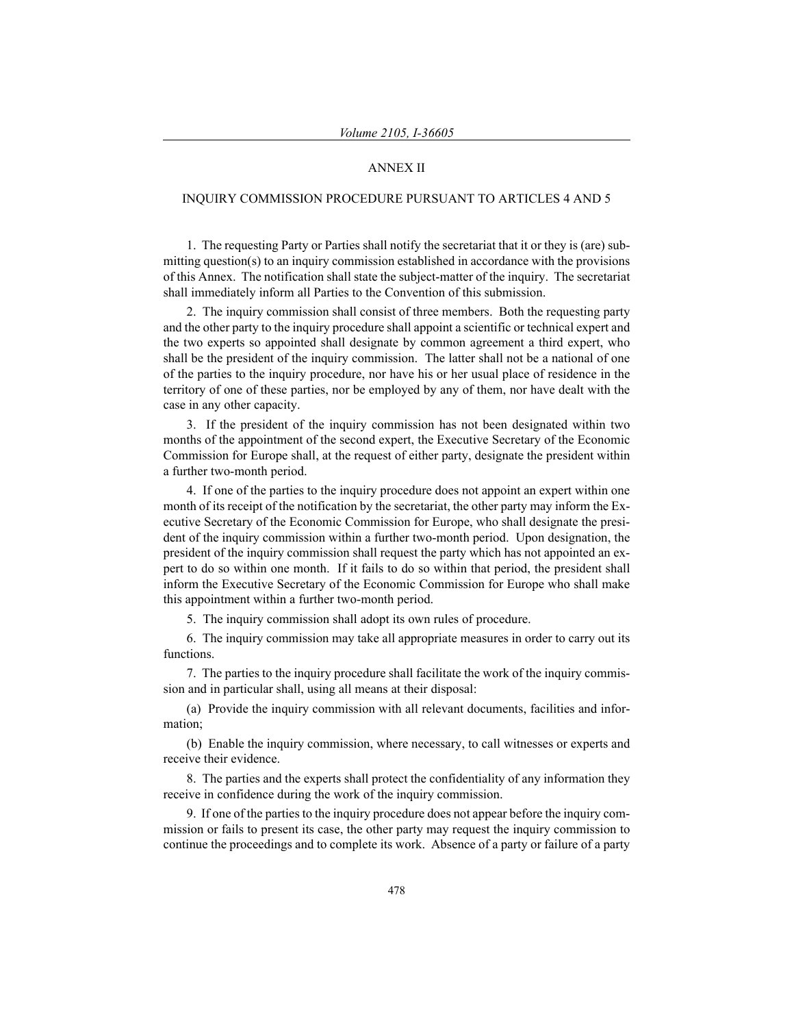#### ANNEX II

#### INQUIRY COMMISSION PROCEDURE PURSUANT TO ARTICLES 4 AND 5

1. The requesting Party or Parties shall notify the secretariat that it or they is (are) submitting question(s) to an inquiry commission established in accordance with the provisions of this Annex. The notification shall state the subject-matter of the inquiry. The secretariat shall immediately inform all Parties to the Convention of this submission.

2. The inquiry commission shall consist of three members. Both the requesting party and the other party to the inquiry procedure shall appoint a scientific or technical expert and the two experts so appointed shall designate by common agreement a third expert, who shall be the president of the inquiry commission. The latter shall not be a national of one of the parties to the inquiry procedure, nor have his or her usual place of residence in the territory of one of these parties, nor be employed by any of them, nor have dealt with the case in any other capacity.

3. If the president of the inquiry commission has not been designated within two months of the appointment of the second expert, the Executive Secretary of the Economic Commission for Europe shall, at the request of either party, designate the president within a further two-month period.

4. If one of the parties to the inquiry procedure does not appoint an expert within one month of its receipt of the notification by the secretariat, the other party may inform the Executive Secretary of the Economic Commission for Europe, who shall designate the president of the inquiry commission within a further two-month period. Upon designation, the president of the inquiry commission shall request the party which has not appointed an expert to do so within one month. If it fails to do so within that period, the president shall inform the Executive Secretary of the Economic Commission for Europe who shall make this appointment within a further two-month period.

5. The inquiry commission shall adopt its own rules of procedure.

6. The inquiry commission may take all appropriate measures in order to carry out its functions.

7. The parties to the inquiry procedure shall facilitate the work of the inquiry commission and in particular shall, using all means at their disposal:

(a) Provide the inquiry commission with all relevant documents, facilities and information;

(b) Enable the inquiry commission, where necessary, to call witnesses or experts and receive their evidence.

8. The parties and the experts shall protect the confidentiality of any information they receive in confidence during the work of the inquiry commission.

9. If one of the parties to the inquiry procedure does not appear before the inquiry commission or fails to present its case, the other party may request the inquiry commission to continue the proceedings and to complete its work. Absence of a party or failure of a party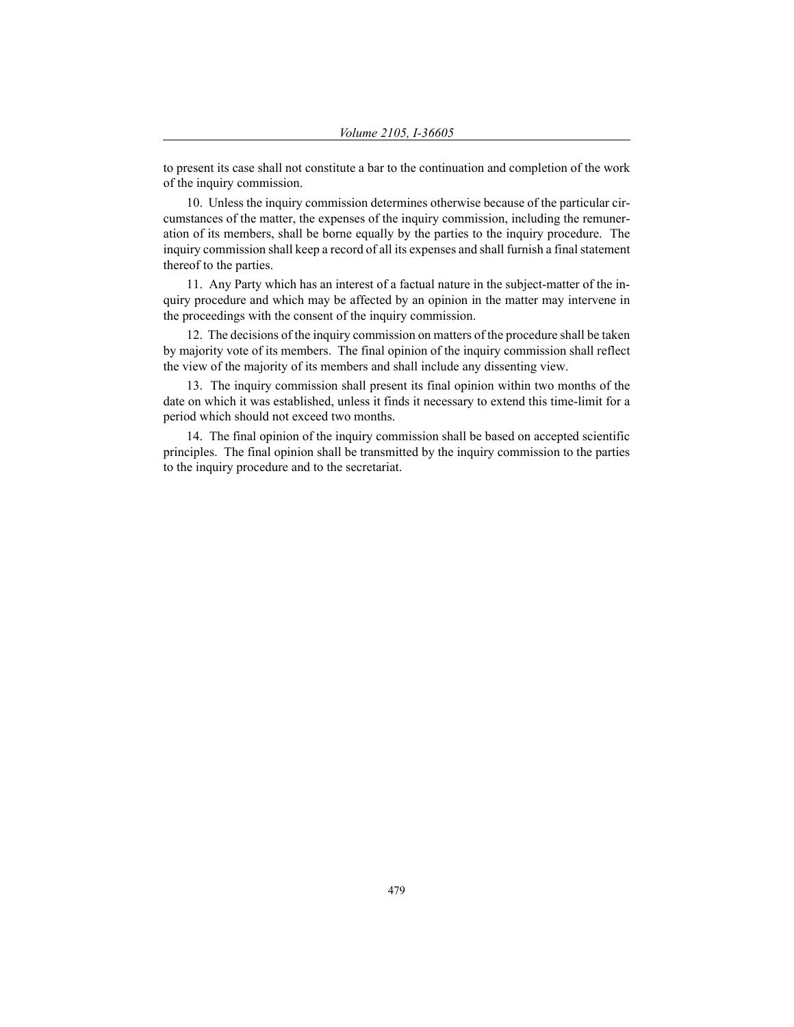to present its case shall not constitute a bar to the continuation and completion of the work of the inquiry commission.

10. Unless the inquiry commission determines otherwise because of the particular circumstances of the matter, the expenses of the inquiry commission, including the remuneration of its members, shall be borne equally by the parties to the inquiry procedure. The inquiry commission shall keep a record of all its expenses and shall furnish a final statement thereof to the parties.

11. Any Party which has an interest of a factual nature in the subject-matter of the inquiry procedure and which may be affected by an opinion in the matter may intervene in the proceedings with the consent of the inquiry commission.

12. The decisions of the inquiry commission on matters of the procedure shall be taken by majority vote of its members. The final opinion of the inquiry commission shall reflect the view of the majority of its members and shall include any dissenting view.

13. The inquiry commission shall present its final opinion within two months of the date on which it was established, unless it finds it necessary to extend this time-limit for a period which should not exceed two months.

14. The final opinion of the inquiry commission shall be based on accepted scientific principles. The final opinion shall be transmitted by the inquiry commission to the parties to the inquiry procedure and to the secretariat.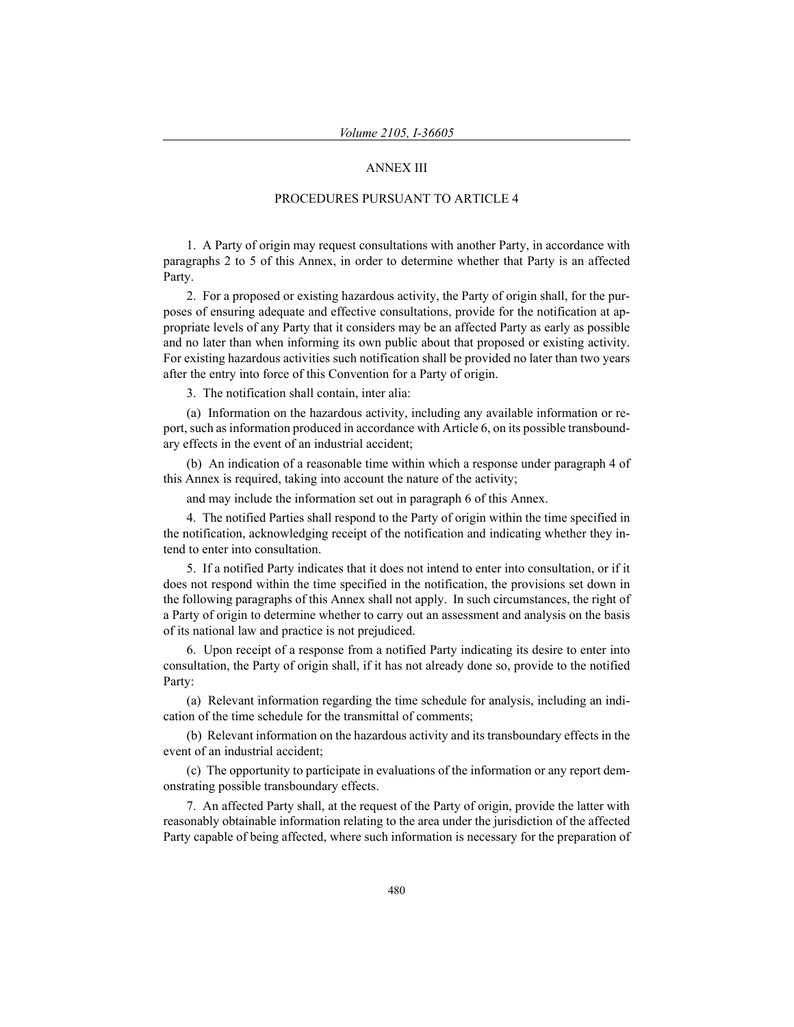# ANNEX III

#### PROCEDURES PURSUANT TO ARTICLE 4

1. A Party of origin may request consultations with another Party, in accordance with paragraphs 2 to 5 of this Annex, in order to determine whether that Party is an affected Party.

2. For a proposed or existing hazardous activity, the Party of origin shall, for the purposes of ensuring adequate and effective consultations, provide for the notification at appropriate levels of any Party that it considers may be an affected Party as early as possible and no later than when informing its own public about that proposed or existing activity. For existing hazardous activities such notification shall be provided no later than two years after the entry into force of this Convention for a Party of origin.

3. The notification shall contain, inter alia:

(a) Information on the hazardous activity, including any available information or report, such as information produced in accordance with Article 6, on its possible transboundary effects in the event of an industrial accident;

(b) An indication of a reasonable time within which a response under paragraph 4 of this Annex is required, taking into account the nature of the activity;

and may include the information set out in paragraph 6 of this Annex.

4. The notified Parties shall respond to the Party of origin within the time specified in the notification, acknowledging receipt of the notification and indicating whether they intend to enter into consultation.

5. If a notified Party indicates that it does not intend to enter into consultation, or if it does not respond within the time specified in the notification, the provisions set down in the following paragraphs of this Annex shall not apply. In such circumstances, the right of a Party of origin to determine whether to carry out an assessment and analysis on the basis of its national law and practice is not prejudiced.

6. Upon receipt of a response from a notified Party indicating its desire to enter into consultation, the Party of origin shall, if it has not already done so, provide to the notified Party:

(a) Relevant information regarding the time schedule for analysis, including an indication of the time schedule for the transmittal of comments;

(b) Relevant information on the hazardous activity and its transboundary effects in the event of an industrial accident;

(c) The opportunity to participate in evaluations of the information or any report demonstrating possible transboundary effects.

7. An affected Party shall, at the request of the Party of origin, provide the latter with reasonably obtainable information relating to the area under the jurisdiction of the affected Party capable of being affected, where such information is necessary for the preparation of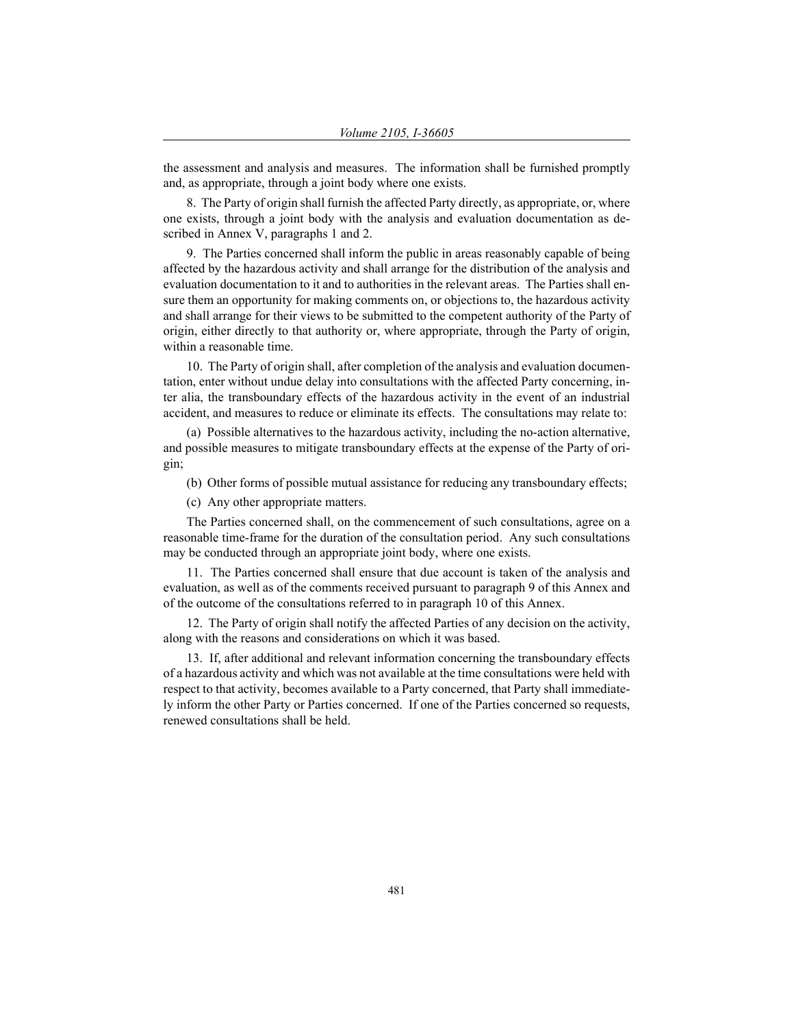the assessment and analysis and measures. The information shall be furnished promptly and, as appropriate, through a joint body where one exists.

8. The Party of origin shall furnish the affected Party directly, as appropriate, or, where one exists, through a joint body with the analysis and evaluation documentation as described in Annex V, paragraphs 1 and 2.

9. The Parties concerned shall inform the public in areas reasonably capable of being affected by the hazardous activity and shall arrange for the distribution of the analysis and evaluation documentation to it and to authorities in the relevant areas. The Parties shall ensure them an opportunity for making comments on, or objections to, the hazardous activity and shall arrange for their views to be submitted to the competent authority of the Party of origin, either directly to that authority or, where appropriate, through the Party of origin, within a reasonable time.

10. The Party of origin shall, after completion of the analysis and evaluation documentation, enter without undue delay into consultations with the affected Party concerning, inter alia, the transboundary effects of the hazardous activity in the event of an industrial accident, and measures to reduce or eliminate its effects. The consultations may relate to:

(a) Possible alternatives to the hazardous activity, including the no-action alternative, and possible measures to mitigate transboundary effects at the expense of the Party of origin;

(b) Other forms of possible mutual assistance for reducing any transboundary effects;

(c) Any other appropriate matters.

The Parties concerned shall, on the commencement of such consultations, agree on a reasonable time-frame for the duration of the consultation period. Any such consultations may be conducted through an appropriate joint body, where one exists.

11. The Parties concerned shall ensure that due account is taken of the analysis and evaluation, as well as of the comments received pursuant to paragraph 9 of this Annex and of the outcome of the consultations referred to in paragraph 10 of this Annex.

12. The Party of origin shall notify the affected Parties of any decision on the activity, along with the reasons and considerations on which it was based.

13. If, after additional and relevant information concerning the transboundary effects of a hazardous activity and which was not available at the time consultations were held with respect to that activity, becomes available to a Party concerned, that Party shall immediately inform the other Party or Parties concerned. If one of the Parties concerned so requests, renewed consultations shall be held.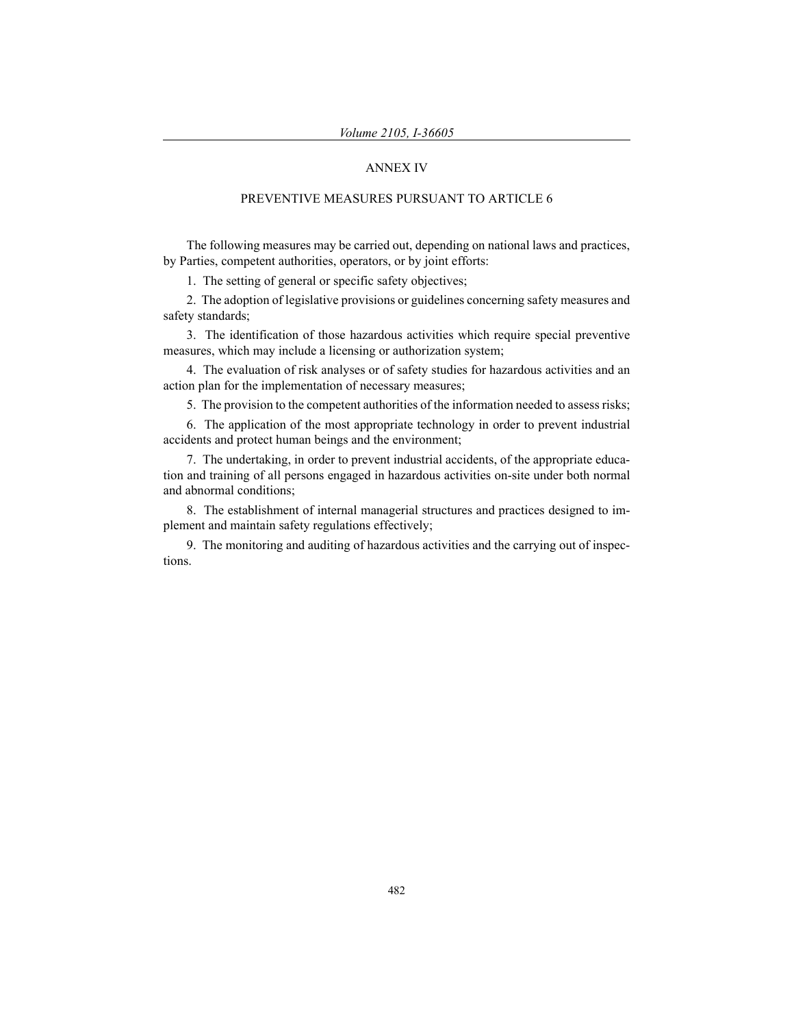# ANNEX IV

#### PREVENTIVE MEASURES PURSUANT TO ARTICLE 6

The following measures may be carried out, depending on national laws and practices, by Parties, competent authorities, operators, or by joint efforts:

1. The setting of general or specific safety objectives;

2. The adoption of legislative provisions or guidelines concerning safety measures and safety standards;

3. The identification of those hazardous activities which require special preventive measures, which may include a licensing or authorization system;

4. The evaluation of risk analyses or of safety studies for hazardous activities and an action plan for the implementation of necessary measures;

5. The provision to the competent authorities of the information needed to assess risks;

6. The application of the most appropriate technology in order to prevent industrial accidents and protect human beings and the environment;

7. The undertaking, in order to prevent industrial accidents, of the appropriate education and training of all persons engaged in hazardous activities on-site under both normal and abnormal conditions;

8. The establishment of internal managerial structures and practices designed to implement and maintain safety regulations effectively;

9. The monitoring and auditing of hazardous activities and the carrying out of inspections.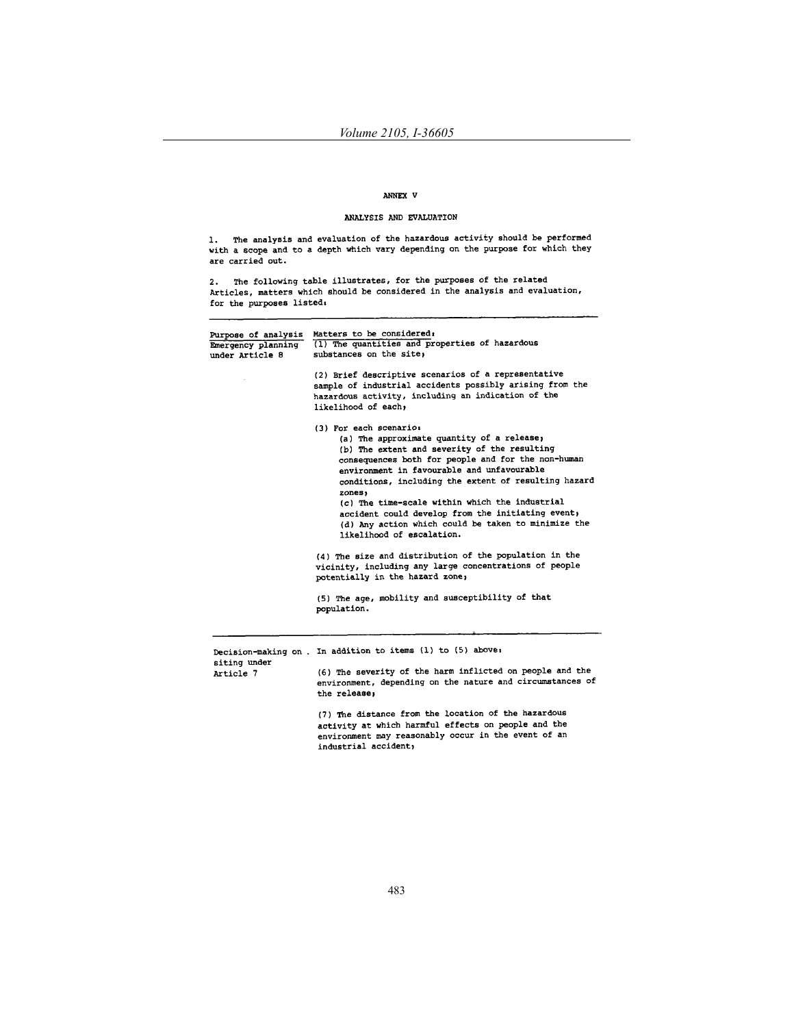#### ANNEX V

#### ANALYSIS AND EVALUATION

1. The analysis and evaluation of the hazardous activity should be performed with a scope and to a depth which vary depending on the purpose for which they are carried out.

2. The following table illustrates, for the purposes of the related Articles, matters which should be considered in the analysis and evaluation, for the purposes listed:

| Purpose of analysis<br>Emergency planning<br>under Article 8 | Matters to be considered:<br>(1) The quantities and properties of hazardous<br>substances on the site;                                                                                                                                                                                                                                                                                                                                                                                                                                                                                                                                                                                                          |  |  |
|--------------------------------------------------------------|-----------------------------------------------------------------------------------------------------------------------------------------------------------------------------------------------------------------------------------------------------------------------------------------------------------------------------------------------------------------------------------------------------------------------------------------------------------------------------------------------------------------------------------------------------------------------------------------------------------------------------------------------------------------------------------------------------------------|--|--|
|                                                              | (2) Brief descriptive scenarios of a representative<br>sample of industrial accidents possibly arising from the<br>hazardous activity, including an indication of the<br>likelihood of each,                                                                                                                                                                                                                                                                                                                                                                                                                                                                                                                    |  |  |
|                                                              | (3) For each scenario:<br>(a) The approximate quantity of a release;<br>(b) The extent and severity of the resulting<br>consequences both for people and for the non-human<br>environment in favourable and unfavourable<br>conditions, including the extent of resulting hazard<br>zones,<br>(c) The time-scale within which the industrial<br>accident could develop from the initiating event;<br>(d) Any action which could be taken to minimize the<br>likelihood of escalation.<br>(4) The size and distribution of the population in the<br>vicinity, including any large concentrations of people<br>potentially in the hazard zone;<br>(5) The age, mobility and susceptibility of that<br>population. |  |  |
|                                                              | Decision-making on . In addition to items (1) to (5) above:                                                                                                                                                                                                                                                                                                                                                                                                                                                                                                                                                                                                                                                     |  |  |
| siting under<br>Article 7                                    | (6) The severity of the harm inflicted on people and the<br>environment, depending on the nature and circumstances of<br>the release;                                                                                                                                                                                                                                                                                                                                                                                                                                                                                                                                                                           |  |  |
|                                                              | (7) The distance from the location of the hazardous<br>activity at which harmful effects on people and the<br>environment may reasonably occur in the event of an<br>industrial accident;                                                                                                                                                                                                                                                                                                                                                                                                                                                                                                                       |  |  |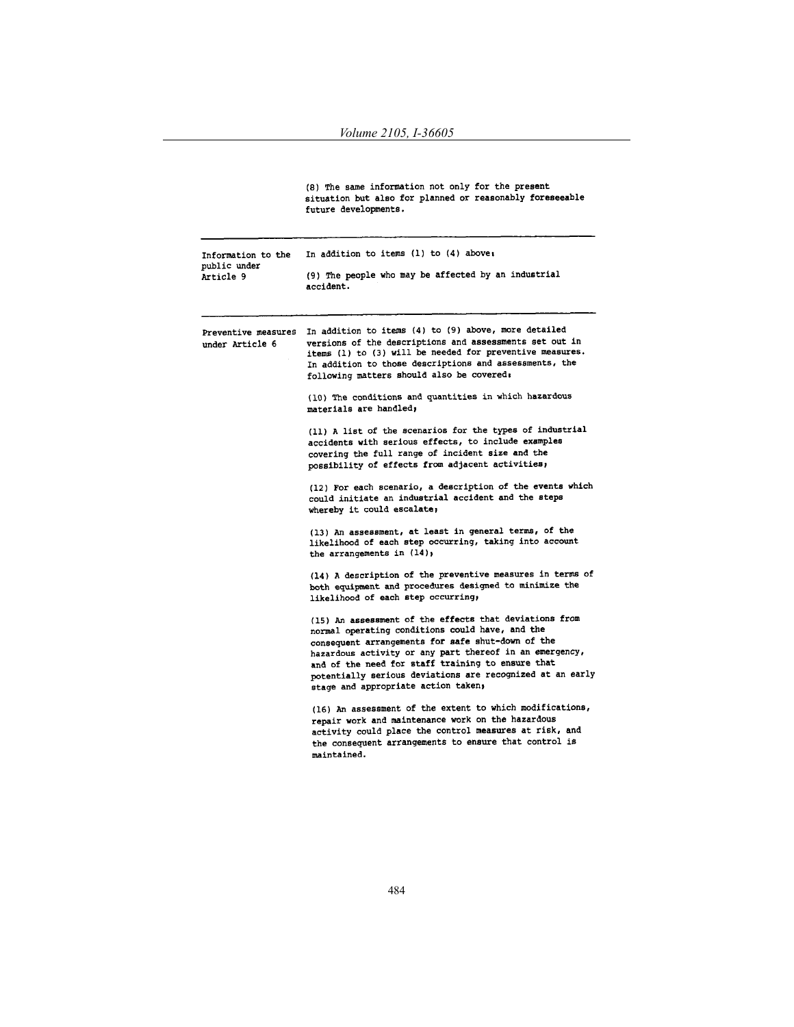(8) The same information not only for the present situation but also for planned or reasonably foreseeable future developments.

| Information to the<br>public under<br>Article 9 | In addition to items (1) to (4) above:<br>(9) The people who may be affected by an industrial<br>accident.                                                                                                                                                                                                                                                                         |
|-------------------------------------------------|------------------------------------------------------------------------------------------------------------------------------------------------------------------------------------------------------------------------------------------------------------------------------------------------------------------------------------------------------------------------------------|
| Preventive measures<br>under Article 6          | In addition to items (4) to (9) above, more detailed<br>versions of the descriptions and assessments set out in<br>items (1) to (3) will be needed for preventive measures.<br>In addition to those descriptions and assessments, the<br>following matters should also be covered:                                                                                                 |
|                                                 | (10) The conditions and quantities in which hazardous<br>materials are handled,                                                                                                                                                                                                                                                                                                    |
|                                                 | (11) A list of the scenarios for the types of industrial<br>accidents with serious effects, to include examples<br>covering the full range of incident size and the<br>possibility of effects from adjacent activities;                                                                                                                                                            |
|                                                 | (12) For each scenario, a description of the events which<br>could initiate an industrial accident and the steps<br>whereby it could escalate;                                                                                                                                                                                                                                     |
|                                                 | (13) An assessment, at least in general terms, of the<br>likelihood of each step occurring, taking into account<br>the arrangements in (14),                                                                                                                                                                                                                                       |
|                                                 | (14) A description of the preventive measures in terms of<br>both equipment and procedures designed to minimize the<br>likelihood of each step occurring;                                                                                                                                                                                                                          |
|                                                 | (15) An assessment of the effects that deviations from<br>normal operating conditions could have, and the<br>consequent arrangements for safe shut-down of the<br>hazardous activity or any part thereof in an emergency,<br>and of the need for staff training to ensure that<br>potentially serious deviations are recognized at an early<br>stage and appropriate action taken; |
|                                                 | (16) An assessment of the extent to which modifications,<br>repair work and maintenance work on the hazardous<br>activity could place the control measures at risk, and<br>the consequent arrangements to ensure that control is<br>maintained.                                                                                                                                    |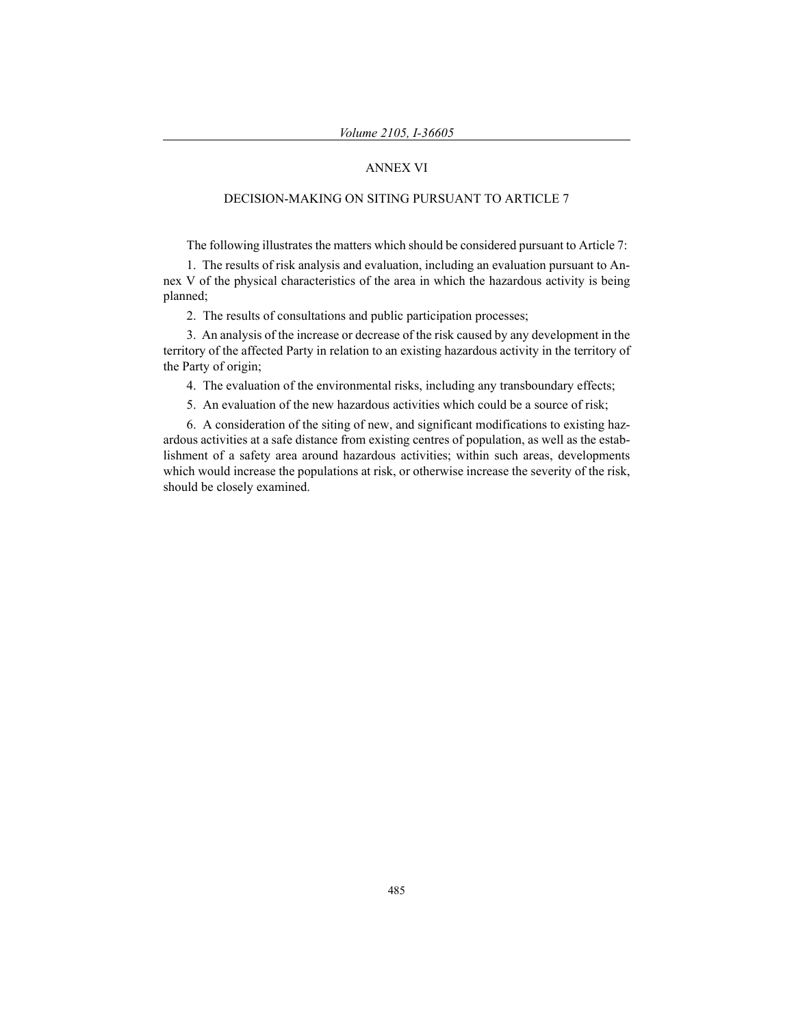# ANNEX VI

# DECISION-MAKING ON SITING PURSUANT TO ARTICLE 7

The following illustrates the matters which should be considered pursuant to Article 7:

1. The results of risk analysis and evaluation, including an evaluation pursuant to Annex V of the physical characteristics of the area in which the hazardous activity is being planned;

2. The results of consultations and public participation processes;

3. An analysis of the increase or decrease of the risk caused by any development in the territory of the affected Party in relation to an existing hazardous activity in the territory of the Party of origin;

4. The evaluation of the environmental risks, including any transboundary effects;

5. An evaluation of the new hazardous activities which could be a source of risk;

6. A consideration of the siting of new, and significant modifications to existing hazardous activities at a safe distance from existing centres of population, as well as the establishment of a safety area around hazardous activities; within such areas, developments which would increase the populations at risk, or otherwise increase the severity of the risk, should be closely examined.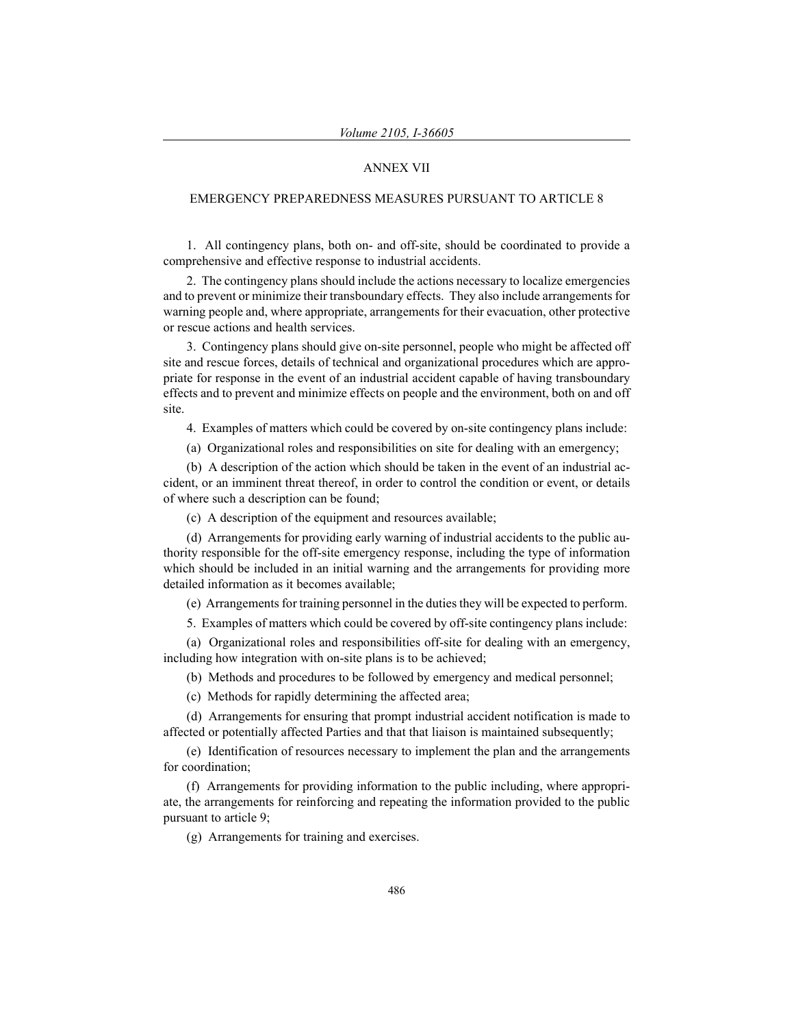#### ANNEX VII

# EMERGENCY PREPAREDNESS MEASURES PURSUANT TO ARTICLE 8

1. All contingency plans, both on- and off-site, should be coordinated to provide a comprehensive and effective response to industrial accidents.

2. The contingency plans should include the actions necessary to localize emergencies and to prevent or minimize their transboundary effects. They also include arrangements for warning people and, where appropriate, arrangements for their evacuation, other protective or rescue actions and health services.

3. Contingency plans should give on-site personnel, people who might be affected off site and rescue forces, details of technical and organizational procedures which are appropriate for response in the event of an industrial accident capable of having transboundary effects and to prevent and minimize effects on people and the environment, both on and off site.

4. Examples of matters which could be covered by on-site contingency plans include:

(a) Organizational roles and responsibilities on site for dealing with an emergency;

(b) A description of the action which should be taken in the event of an industrial accident, or an imminent threat thereof, in order to control the condition or event, or details of where such a description can be found;

(c) A description of the equipment and resources available;

(d) Arrangements for providing early warning of industrial accidents to the public authority responsible for the off-site emergency response, including the type of information which should be included in an initial warning and the arrangements for providing more detailed information as it becomes available;

(e) Arrangements for training personnel in the duties they will be expected to perform.

5. Examples of matters which could be covered by off-site contingency plans include:

(a) Organizational roles and responsibilities off-site for dealing with an emergency, including how integration with on-site plans is to be achieved;

(b) Methods and procedures to be followed by emergency and medical personnel;

(c) Methods for rapidly determining the affected area;

(d) Arrangements for ensuring that prompt industrial accident notification is made to affected or potentially affected Parties and that that liaison is maintained subsequently;

(e) Identification of resources necessary to implement the plan and the arrangements for coordination;

(f) Arrangements for providing information to the public including, where appropriate, the arrangements for reinforcing and repeating the information provided to the public pursuant to article 9;

(g) Arrangements for training and exercises.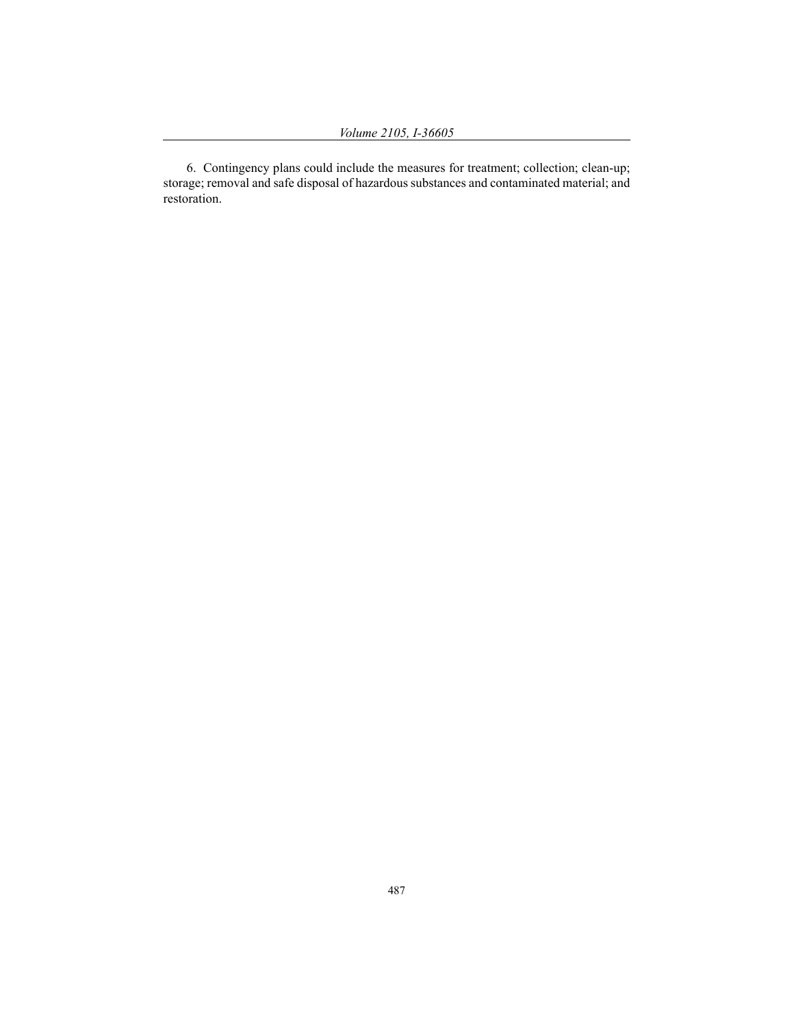6. Contingency plans could include the measures for treatment; collection; clean-up; storage; removal and safe disposal of hazardous substances and contaminated material; and restoration.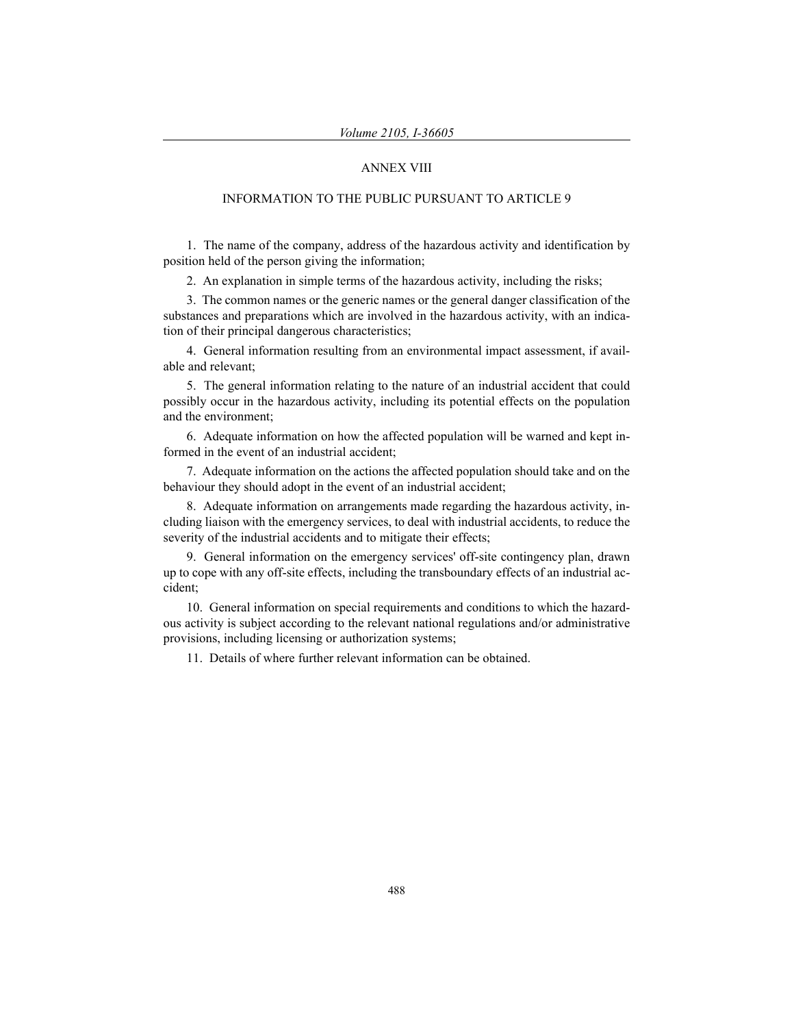# ANNEX VIII

#### INFORMATION TO THE PUBLIC PURSUANT TO ARTICLE 9

1. The name of the company, address of the hazardous activity and identification by position held of the person giving the information;

2. An explanation in simple terms of the hazardous activity, including the risks;

3. The common names or the generic names or the general danger classification of the substances and preparations which are involved in the hazardous activity, with an indication of their principal dangerous characteristics;

4. General information resulting from an environmental impact assessment, if available and relevant;

5. The general information relating to the nature of an industrial accident that could possibly occur in the hazardous activity, including its potential effects on the population and the environment;

6. Adequate information on how the affected population will be warned and kept informed in the event of an industrial accident;

7. Adequate information on the actions the affected population should take and on the behaviour they should adopt in the event of an industrial accident;

8. Adequate information on arrangements made regarding the hazardous activity, including liaison with the emergency services, to deal with industrial accidents, to reduce the severity of the industrial accidents and to mitigate their effects;

9. General information on the emergency services' off-site contingency plan, drawn up to cope with any off-site effects, including the transboundary effects of an industrial accident;

10. General information on special requirements and conditions to which the hazardous activity is subject according to the relevant national regulations and/or administrative provisions, including licensing or authorization systems;

11. Details of where further relevant information can be obtained.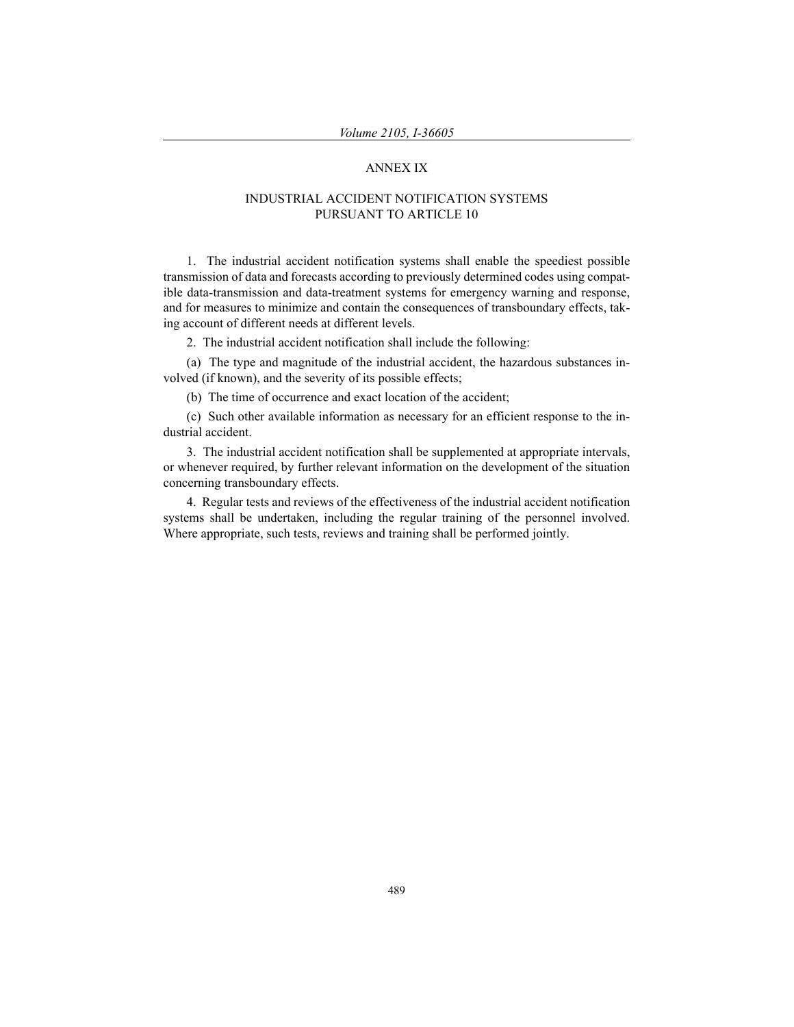#### ANNEX IX

## INDUSTRIAL ACCIDENT NOTIFICATION SYSTEMS PURSUANT TO ARTICLE 10

1. The industrial accident notification systems shall enable the speediest possible transmission of data and forecasts according to previously determined codes using compatible data-transmission and data-treatment systems for emergency warning and response, and for measures to minimize and contain the consequences of transboundary effects, taking account of different needs at different levels.

2. The industrial accident notification shall include the following:

(a) The type and magnitude of the industrial accident, the hazardous substances involved (if known), and the severity of its possible effects;

(b) The time of occurrence and exact location of the accident;

(c) Such other available information as necessary for an efficient response to the industrial accident.

3. The industrial accident notification shall be supplemented at appropriate intervals, or whenever required, by further relevant information on the development of the situation concerning transboundary effects.

4. Regular tests and reviews of the effectiveness of the industrial accident notification systems shall be undertaken, including the regular training of the personnel involved. Where appropriate, such tests, reviews and training shall be performed jointly.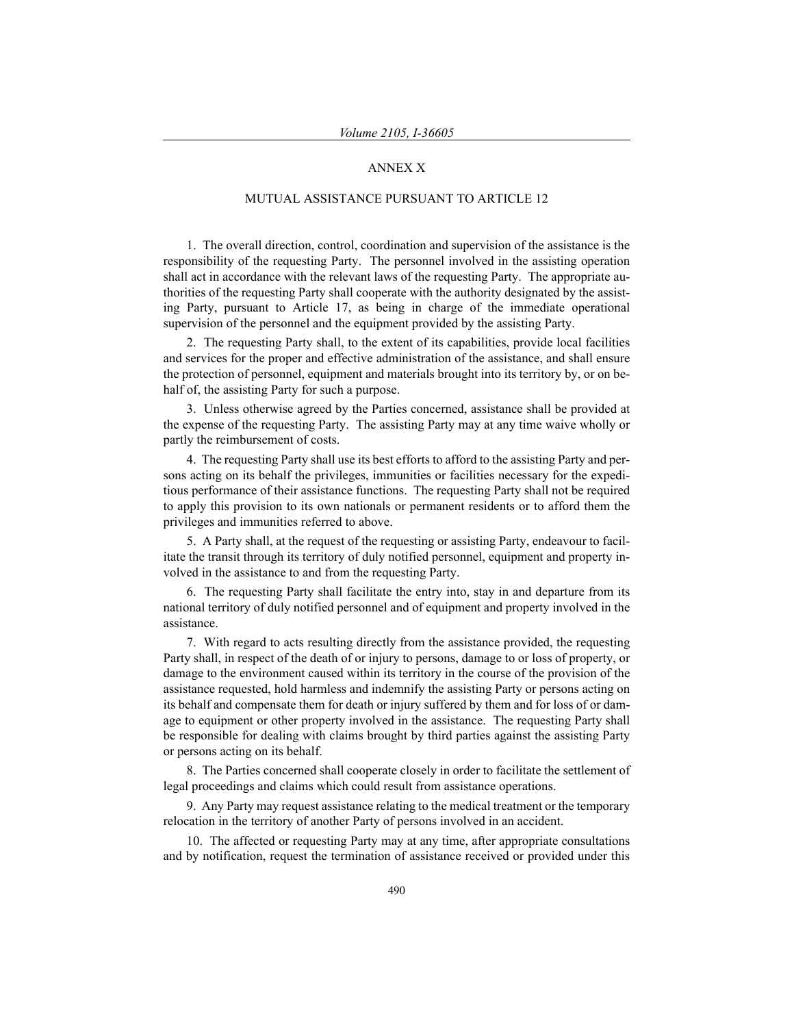#### ANNEX X

#### MUTUAL ASSISTANCE PURSUANT TO ARTICLE 12

1. The overall direction, control, coordination and supervision of the assistance is the responsibility of the requesting Party. The personnel involved in the assisting operation shall act in accordance with the relevant laws of the requesting Party. The appropriate authorities of the requesting Party shall cooperate with the authority designated by the assisting Party, pursuant to Article 17, as being in charge of the immediate operational supervision of the personnel and the equipment provided by the assisting Party.

2. The requesting Party shall, to the extent of its capabilities, provide local facilities and services for the proper and effective administration of the assistance, and shall ensure the protection of personnel, equipment and materials brought into its territory by, or on behalf of, the assisting Party for such a purpose.

3. Unless otherwise agreed by the Parties concerned, assistance shall be provided at the expense of the requesting Party. The assisting Party may at any time waive wholly or partly the reimbursement of costs.

4. The requesting Party shall use its best efforts to afford to the assisting Party and persons acting on its behalf the privileges, immunities or facilities necessary for the expeditious performance of their assistance functions. The requesting Party shall not be required to apply this provision to its own nationals or permanent residents or to afford them the privileges and immunities referred to above.

5. A Party shall, at the request of the requesting or assisting Party, endeavour to facilitate the transit through its territory of duly notified personnel, equipment and property involved in the assistance to and from the requesting Party.

6. The requesting Party shall facilitate the entry into, stay in and departure from its national territory of duly notified personnel and of equipment and property involved in the assistance.

7. With regard to acts resulting directly from the assistance provided, the requesting Party shall, in respect of the death of or injury to persons, damage to or loss of property, or damage to the environment caused within its territory in the course of the provision of the assistance requested, hold harmless and indemnify the assisting Party or persons acting on its behalf and compensate them for death or injury suffered by them and for loss of or damage to equipment or other property involved in the assistance. The requesting Party shall be responsible for dealing with claims brought by third parties against the assisting Party or persons acting on its behalf.

8. The Parties concerned shall cooperate closely in order to facilitate the settlement of legal proceedings and claims which could result from assistance operations.

9. Any Party may request assistance relating to the medical treatment or the temporary relocation in the territory of another Party of persons involved in an accident.

10. The affected or requesting Party may at any time, after appropriate consultations and by notification, request the termination of assistance received or provided under this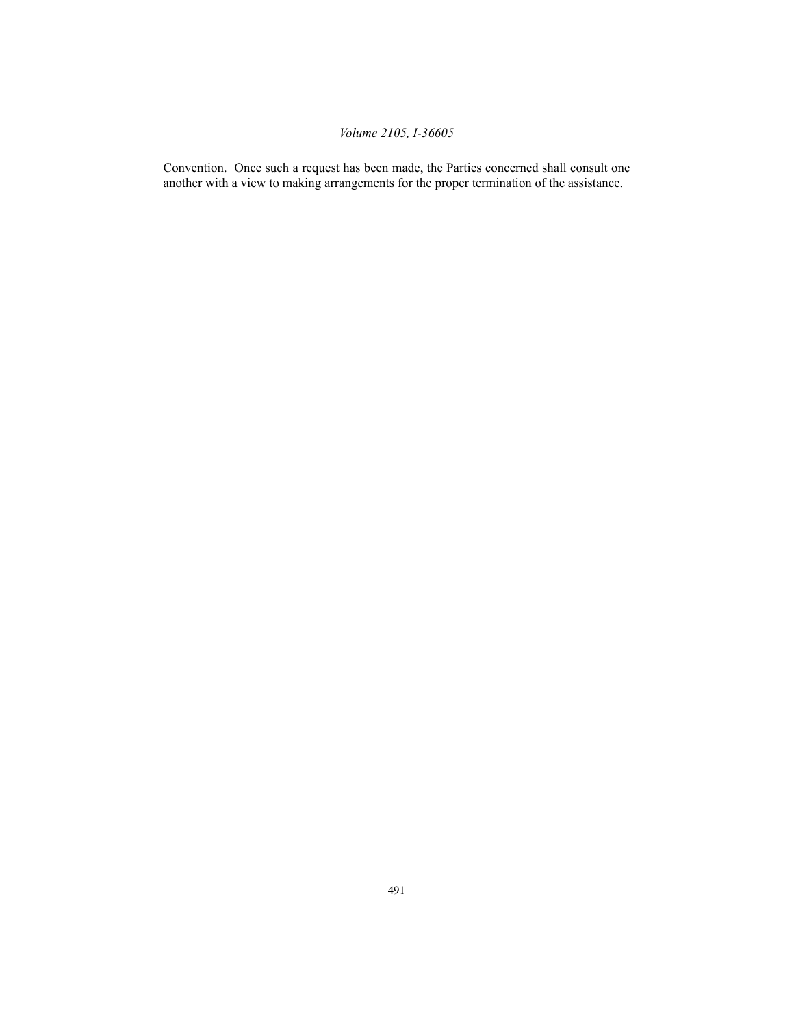Convention. Once such a request has been made, the Parties concerned shall consult one another with a view to making arrangements for the proper termination of the assistance.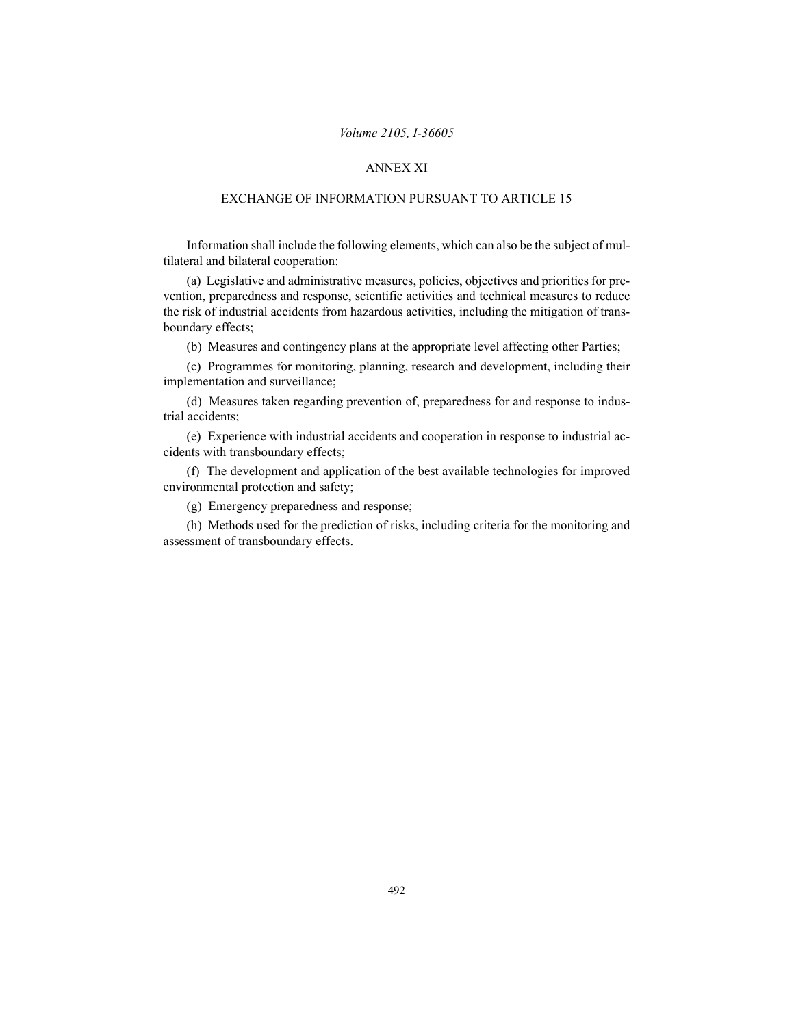#### ANNEX XI

#### EXCHANGE OF INFORMATION PURSUANT TO ARTICLE 15

Information shall include the following elements, which can also be the subject of multilateral and bilateral cooperation:

(a) Legislative and administrative measures, policies, objectives and priorities for prevention, preparedness and response, scientific activities and technical measures to reduce the risk of industrial accidents from hazardous activities, including the mitigation of transboundary effects;

(b) Measures and contingency plans at the appropriate level affecting other Parties;

(c) Programmes for monitoring, planning, research and development, including their implementation and surveillance;

(d) Measures taken regarding prevention of, preparedness for and response to industrial accidents;

(e) Experience with industrial accidents and cooperation in response to industrial accidents with transboundary effects;

(f) The development and application of the best available technologies for improved environmental protection and safety;

(g) Emergency preparedness and response;

(h) Methods used for the prediction of risks, including criteria for the monitoring and assessment of transboundary effects.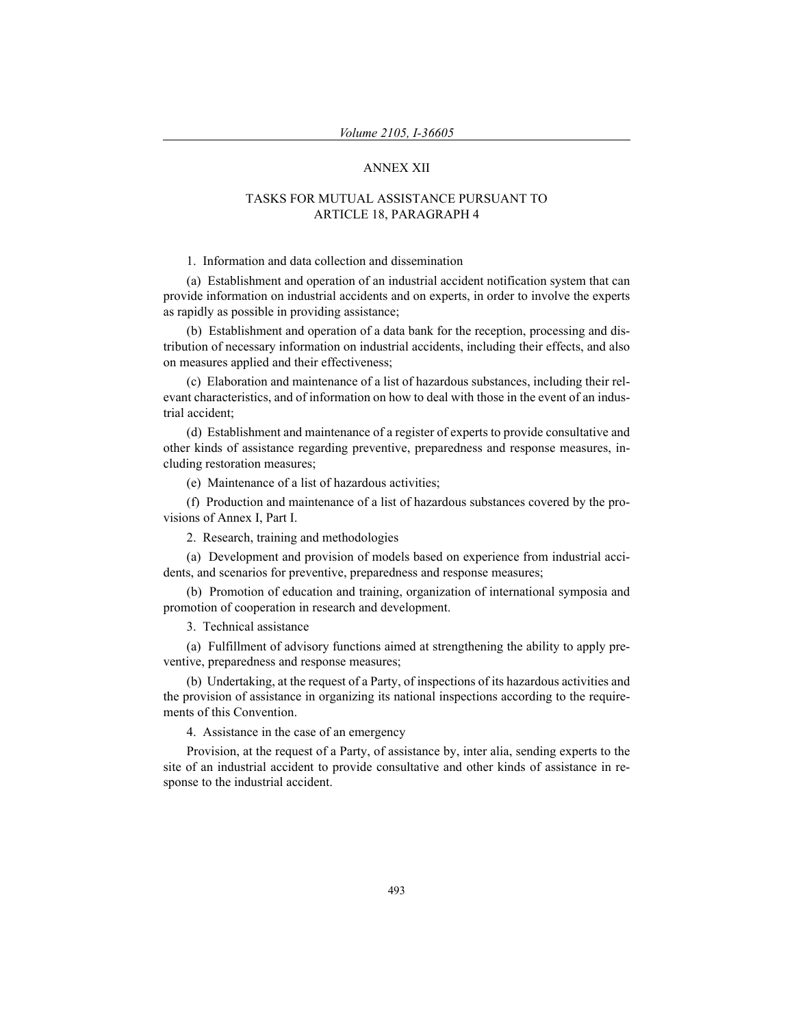#### ANNEX XII

# TASKS FOR MUTUAL ASSISTANCE PURSUANT TO ARTICLE 18, PARAGRAPH 4

1. Information and data collection and dissemination

(a) Establishment and operation of an industrial accident notification system that can provide information on industrial accidents and on experts, in order to involve the experts as rapidly as possible in providing assistance;

(b) Establishment and operation of a data bank for the reception, processing and distribution of necessary information on industrial accidents, including their effects, and also on measures applied and their effectiveness;

(c) Elaboration and maintenance of a list of hazardous substances, including their relevant characteristics, and of information on how to deal with those in the event of an industrial accident;

(d) Establishment and maintenance of a register of experts to provide consultative and other kinds of assistance regarding preventive, preparedness and response measures, including restoration measures;

(e) Maintenance of a list of hazardous activities;

(f) Production and maintenance of a list of hazardous substances covered by the provisions of Annex I, Part I.

2. Research, training and methodologies

(a) Development and provision of models based on experience from industrial accidents, and scenarios for preventive, preparedness and response measures;

(b) Promotion of education and training, organization of international symposia and promotion of cooperation in research and development.

3. Technical assistance

(a) Fulfillment of advisory functions aimed at strengthening the ability to apply preventive, preparedness and response measures;

(b) Undertaking, at the request of a Party, of inspections of its hazardous activities and the provision of assistance in organizing its national inspections according to the requirements of this Convention.

4. Assistance in the case of an emergency

Provision, at the request of a Party, of assistance by, inter alia, sending experts to the site of an industrial accident to provide consultative and other kinds of assistance in response to the industrial accident.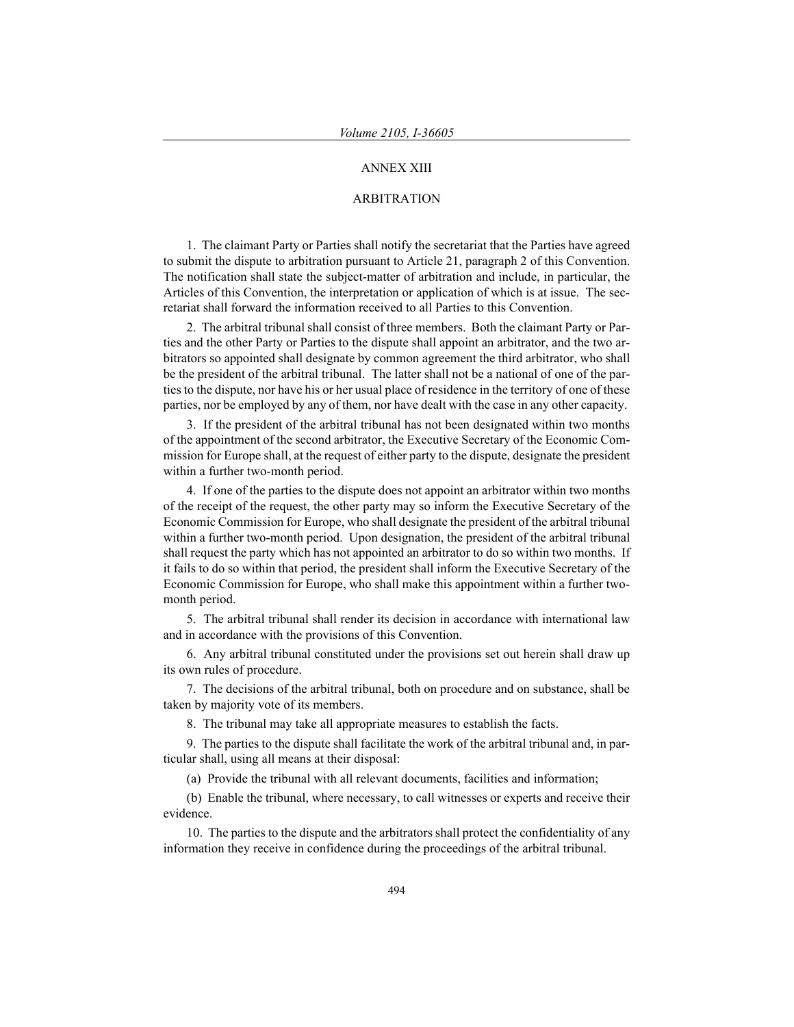#### ANNEX XIII

## **ARBITRATION**

1. The claimant Party or Parties shall notify the secretariat that the Parties have agreed to submit the dispute to arbitration pursuant to Article 21, paragraph 2 of this Convention. The notification shall state the subject-matter of arbitration and include, in particular, the Articles of this Convention, the interpretation or application of which is at issue. The secretariat shall forward the information received to all Parties to this Convention.

2. The arbitral tribunal shall consist of three members. Both the claimant Party or Parties and the other Party or Parties to the dispute shall appoint an arbitrator, and the two arbitrators so appointed shall designate by common agreement the third arbitrator, who shall be the president of the arbitral tribunal. The latter shall not be a national of one of the parties to the dispute, nor have his or her usual place of residence in the territory of one of these parties, nor be employed by any of them, nor have dealt with the case in any other capacity.

3. If the president of the arbitral tribunal has not been designated within two months of the appointment of the second arbitrator, the Executive Secretary of the Economic Commission for Europe shall, at the request of either party to the dispute, designate the president within a further two-month period.

4. If one of the parties to the dispute does not appoint an arbitrator within two months of the receipt of the request, the other party may so inform the Executive Secretary of the Economic Commission for Europe, who shall designate the president of the arbitral tribunal within a further two-month period. Upon designation, the president of the arbitral tribunal shall request the party which has not appointed an arbitrator to do so within two months. If it fails to do so within that period, the president shall inform the Executive Secretary of the Economic Commission for Europe, who shall make this appointment within a further twomonth period.

5. The arbitral tribunal shall render its decision in accordance with international law and in accordance with the provisions of this Convention.

6. Any arbitral tribunal constituted under the provisions set out herein shall draw up its own rules of procedure.

7. The decisions of the arbitral tribunal, both on procedure and on substance, shall be taken by majority vote of its members.

8. The tribunal may take all appropriate measures to establish the facts.

9. The parties to the dispute shall facilitate the work of the arbitral tribunal and, in particular shall, using all means at their disposal:

(a) Provide the tribunal with all relevant documents, facilities and information;

(b) Enable the tribunal, where necessary, to call witnesses or experts and receive their evidence.

10. The parties to the dispute and the arbitrators shall protect the confidentiality of any information they receive in confidence during the proceedings of the arbitral tribunal.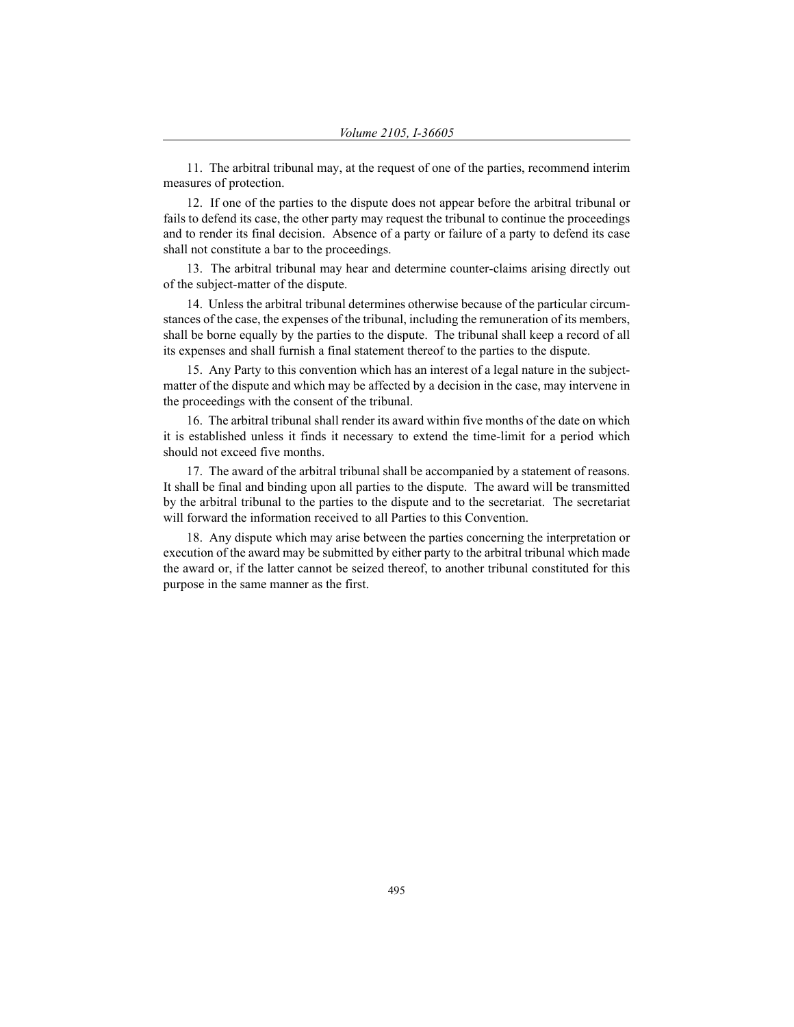11. The arbitral tribunal may, at the request of one of the parties, recommend interim measures of protection.

12. If one of the parties to the dispute does not appear before the arbitral tribunal or fails to defend its case, the other party may request the tribunal to continue the proceedings and to render its final decision. Absence of a party or failure of a party to defend its case shall not constitute a bar to the proceedings.

13. The arbitral tribunal may hear and determine counter-claims arising directly out of the subject-matter of the dispute.

14. Unless the arbitral tribunal determines otherwise because of the particular circumstances of the case, the expenses of the tribunal, including the remuneration of its members, shall be borne equally by the parties to the dispute. The tribunal shall keep a record of all its expenses and shall furnish a final statement thereof to the parties to the dispute.

15. Any Party to this convention which has an interest of a legal nature in the subjectmatter of the dispute and which may be affected by a decision in the case, may intervene in the proceedings with the consent of the tribunal.

16. The arbitral tribunal shall render its award within five months of the date on which it is established unless it finds it necessary to extend the time-limit for a period which should not exceed five months.

17. The award of the arbitral tribunal shall be accompanied by a statement of reasons. It shall be final and binding upon all parties to the dispute. The award will be transmitted by the arbitral tribunal to the parties to the dispute and to the secretariat. The secretariat will forward the information received to all Parties to this Convention.

18. Any dispute which may arise between the parties concerning the interpretation or execution of the award may be submitted by either party to the arbitral tribunal which made the award or, if the latter cannot be seized thereof, to another tribunal constituted for this purpose in the same manner as the first.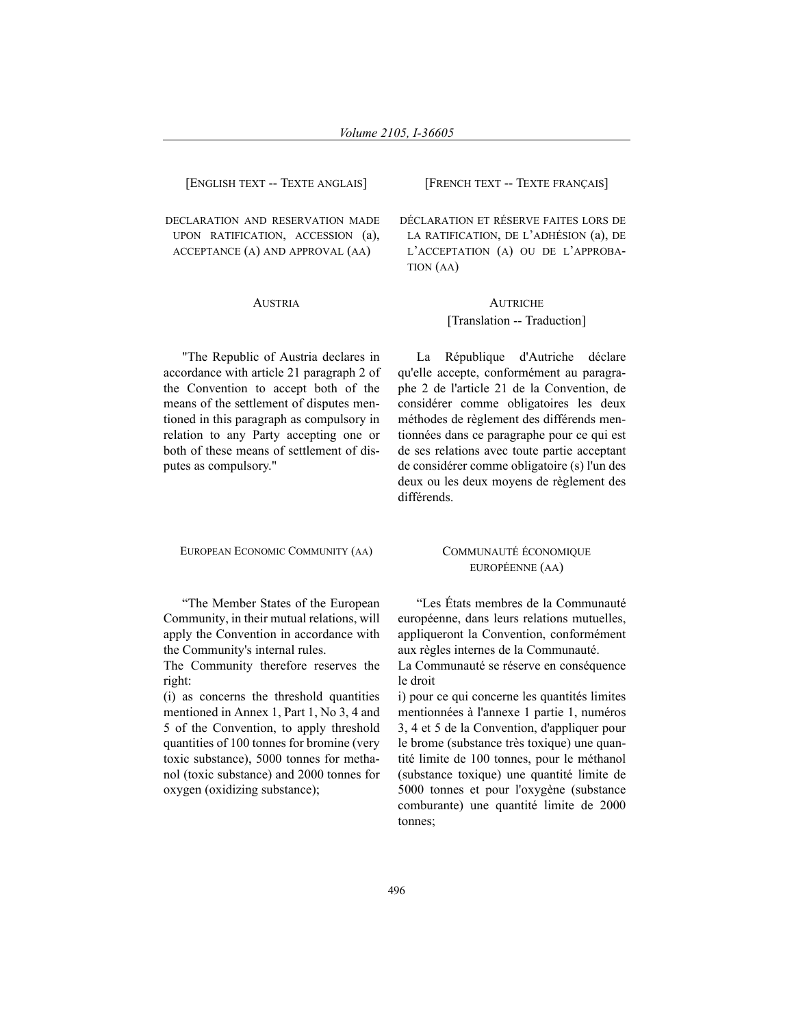DECLARATION AND RESERVATION MADE UPON RATIFICATION, ACCESSION (a), ACCEPTANCE (A) AND APPROVAL (AA)

"The Republic of Austria declares in accordance with article 21 paragraph 2 of the Convention to accept both of the means of the settlement of disputes mentioned in this paragraph as compulsory in relation to any Party accepting one or both of these means of settlement of disputes as compulsory."

[ENGLISH TEXT -- TEXTE ANGLAIS] [FRENCH TEXT -- TEXTE FRANÇAIS]

DÉCLARATION ET RÉSERVE FAITES LORS DE LA RATIFICATION, DE L'ADHÉSION (a), DE L'ACCEPTATION (A) OU DE L'APPROBA-TION (AA)

#### AUSTRIA AUTRICHE

#### [Translation -- Traduction]

La République d'Autriche déclare qu'elle accepte, conformément au paragraphe 2 de l'article 21 de la Convention, de considérer comme obligatoires les deux méthodes de règlement des différends mentionnées dans ce paragraphe pour ce qui est de ses relations avec toute partie acceptant de considérer comme obligatoire (s) l'un des deux ou les deux moyens de règlement des différends.

EUROPEAN ECONOMIC COMMUNITY (AA) COMMUNAUTÉ ÉCONOMIQUE

"The Member States of the European Community, in their mutual relations, will apply the Convention in accordance with the Community's internal rules.

The Community therefore reserves the right:

(i) as concerns the threshold quantities mentioned in Annex 1, Part 1, No 3, 4 and 5 of the Convention, to apply threshold quantities of 100 tonnes for bromine (very toxic substance), 5000 tonnes for methanol (toxic substance) and 2000 tonnes for oxygen (oxidizing substance);

# EUROPÉENNE (AA)

"Les États membres de la Communauté européenne, dans leurs relations mutuelles, appliqueront la Convention, conformément aux règles internes de la Communauté.

La Communauté se réserve en conséquence le droit

i) pour ce qui concerne les quantités limites mentionnées à l'annexe 1 partie 1, numéros 3, 4 et 5 de la Convention, d'appliquer pour le brome (substance très toxique) une quantité limite de 100 tonnes, pour le méthanol (substance toxique) une quantité limite de 5000 tonnes et pour l'oxygène (substance comburante) une quantité limite de 2000 tonnes;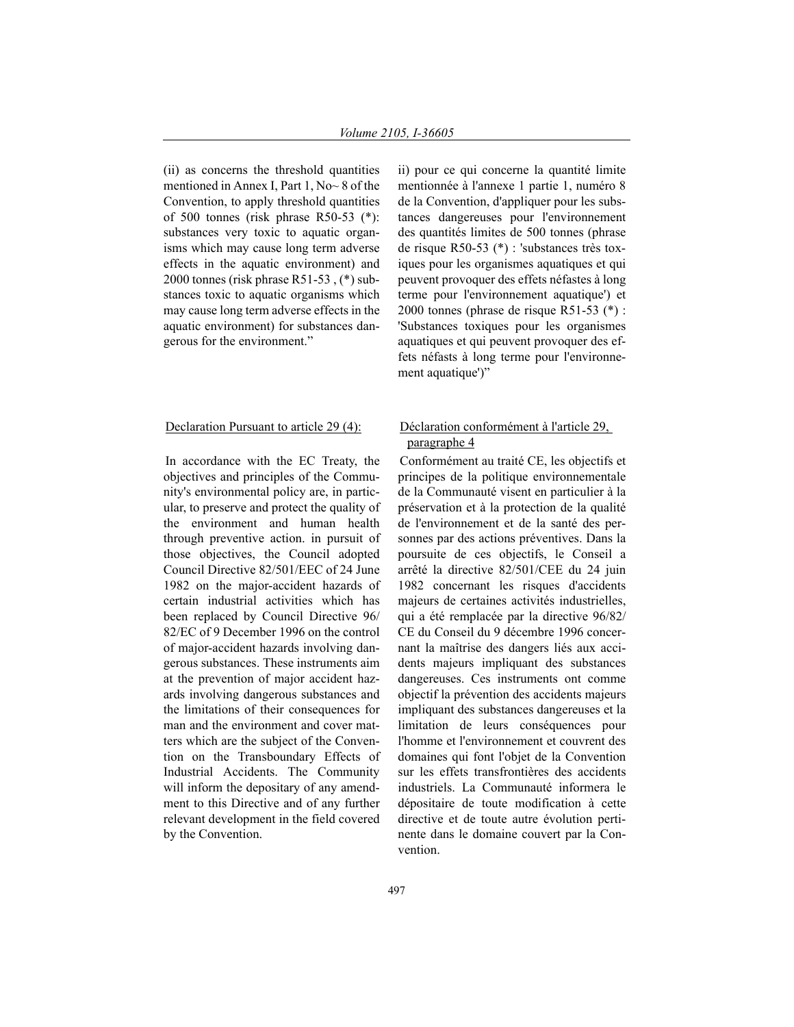(ii) as concerns the threshold quantities mentioned in Annex I, Part 1, No~ 8 of the Convention, to apply threshold quantities of 500 tonnes (risk phrase R50-53 (\*): substances very toxic to aquatic organisms which may cause long term adverse effects in the aquatic environment) and 2000 tonnes (risk phrase R51-53 , (\*) substances toxic to aquatic organisms which may cause long term adverse effects in the aquatic environment) for substances dangerous for the environment."

In accordance with the EC Treaty, the objectives and principles of the Community's environmental policy are, in particular, to preserve and protect the quality of the environment and human health through preventive action. in pursuit of those objectives, the Council adopted Council Directive 82/501/EEC of 24 June 1982 on the major-accident hazards of certain industrial activities which has been replaced by Council Directive 96/ 82/EC of 9 December 1996 on the control of major-accident hazards involving dangerous substances. These instruments aim at the prevention of major accident hazards involving dangerous substances and the limitations of their consequences for man and the environment and cover matters which are the subject of the Convention on the Transboundary Effects of Industrial Accidents. The Community will inform the depositary of any amendment to this Directive and of any further relevant development in the field covered by the Convention.

ii) pour ce qui concerne la quantité limite mentionnée à l'annexe 1 partie 1, numéro 8 de la Convention, d'appliquer pour les substances dangereuses pour l'environnement des quantités limites de 500 tonnes (phrase de risque R50-53 (\*) : 'substances très toxiques pour les organismes aquatiques et qui peuvent provoquer des effets néfastes à long terme pour l'environnement aquatique') et 2000 tonnes (phrase de risque R51-53 (\*) : 'Substances toxiques pour les organismes aquatiques et qui peuvent provoquer des effets néfasts à long terme pour l'environnement aquatique')"

#### Declaration Pursuant to article 29 (4): Déclaration conformément à l'article 29, paragraphe 4

Conformément au traité CE, les objectifs et principes de la politique environnementale de la Communauté visent en particulier à la préservation et à la protection de la qualité de l'environnement et de la santé des personnes par des actions préventives. Dans la poursuite de ces objectifs, le Conseil a arrêté la directive 82/501/CEE du 24 juin 1982 concernant les risques d'accidents majeurs de certaines activités industrielles, qui a été remplacée par la directive 96/82/ CE du Conseil du 9 décembre 1996 concernant la maîtrise des dangers liés aux accidents majeurs impliquant des substances dangereuses. Ces instruments ont comme objectif la prévention des accidents majeurs impliquant des substances dangereuses et la limitation de leurs conséquences pour l'homme et l'environnement et couvrent des domaines qui font l'objet de la Convention sur les effets transfrontières des accidents industriels. La Communauté informera le dépositaire de toute modification à cette directive et de toute autre évolution pertinente dans le domaine couvert par la Convention.